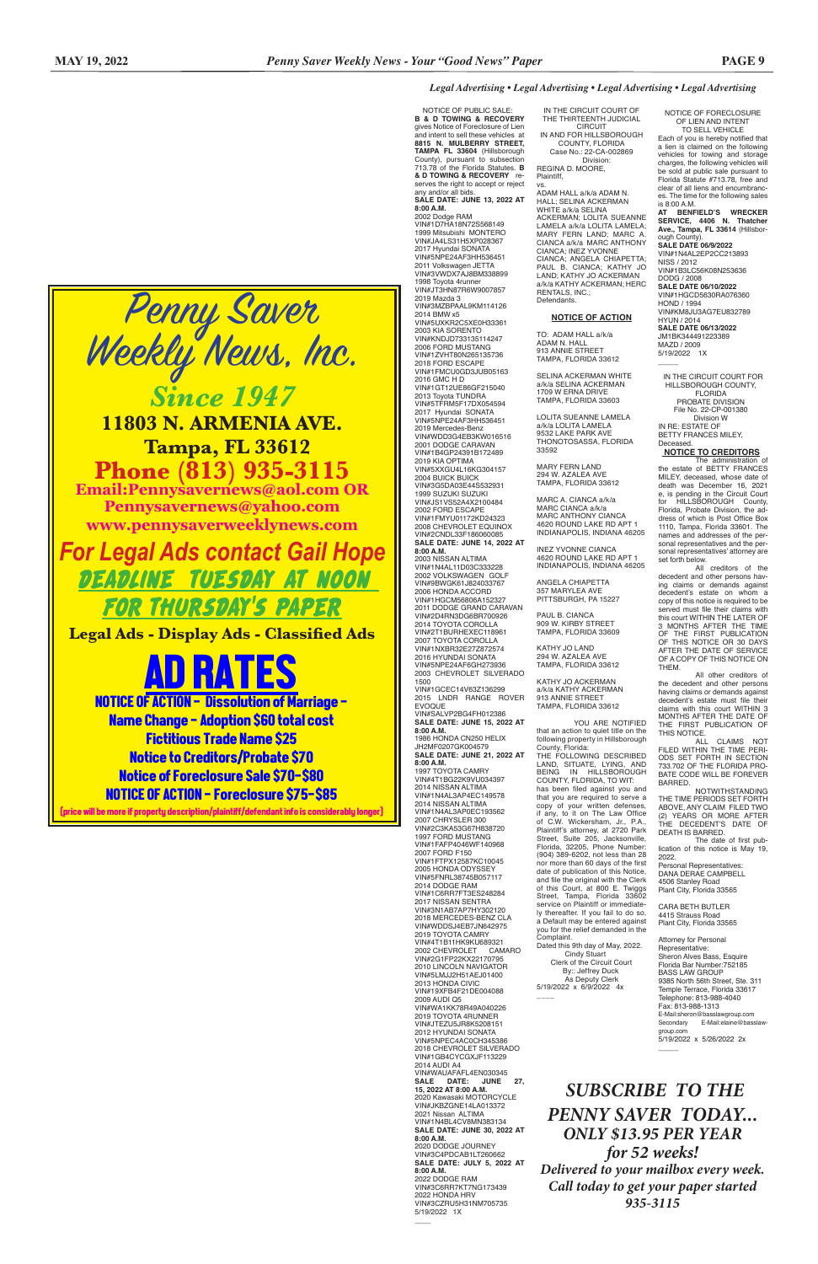#### NOTICE OF FORECLOSURE OF LIEN AND INTENT TO SELL VEHICLE

*SUBSCRIBE TO THE PENNY SAVER TODAY... ONLY \$13.95 PER YEAR for 52 weeks! Delivered to your mailbox every week. Call today to get your paper started 935-3115*

 $\overline{\phantom{a}}$ 

vs. ADAM HALL a/k/a ADAM N. HALL; SELINA ACKERMAN WHITE a/k/a SELINA ACKERMAN; LOLITA SUEANNE LAMELA a/k/a LOLITA LAMELA; MARY FERN LAND; MARC A. CIANCA a/k/a MARC ANTHONY CIANCA; INEZ YVONNE CIANCA; ANGELA CHIAPETTA; PAUL B. CIANCA; KATHY JO LAND; KATHY JO ACKERMAN a/k/a KATHY ACKERMAN; HERC RENTALS, INC.; **Defendants** 

Each of you is hereby notified that a lien is claimed on the following vehicles for towing and storage charges, the following vehicles will be sold at public sale pursuant to Florida Statute #713.78, free and clear of all liens and encumbrances. The time for the following sales is 8:00 A.M. **AT BENFIELD'S WRECKER SERVICE, 4406 N. Thatcher Ave., Tampa, FL 33614** (Hillsborough County). **SALE DATE 06/9/2022** VIN#1N4AL2EP2CC213893 NISS / 2012 VIN#1B3LC56K08N253636 DODG / 2008 **SALE DATE 06/10/2022** VIN#1HGCD5630RA076360 HOND / 1994 VIN#KM8JU3AG7EU832789 HYUN / 2014 **SALE DATE 06/13/2022** JM1BK344491223389 MAZD / 2009 5/19/2022 1X

SELINA ACKERMAN WHITE a/k/a SELINA ACKERMAN 1709 W ERNA DRIVE TAMPA, FLORIDA 33603

IN THE CIRCUIT COURT OF THE THIRTEENTH JUDICIAL CIRCUIT IN AND FOR HILLSBOROUGH COUNTY, FLORIDA Case No.: 22-CA-002869

PAUL B. CIANCA 909 W. KIRBY STREET TAMPA, FLORIDA 33609

 Division: REGINA D. MOORE, Plaintiff,

YOU ARE NOTIFIED that an action to quiet title on the following property in Hillsborough

### **NOTICE OF ACTION**

TO: ADAM HALL a/k/a ADAM N. HALL 913 ANNIE STREET TAMPA, FLORIDA 33612

LOLITA SUEANNE LAMELA a/k/a LOLITA LAMELA 9532 LAKE PARK AVE THONOTOSASSA, FLORIDA 33592

MARY FERN LAND 294 W. AZALEA AVE TAMPA, FLORIDA 33612

MARC A. CIANCA a/k/a MARC CIANCA a/k/a MARC ANTHONY CIANCA 4620 ROUND LAKE RD APT 1 INDIANAPOLIS, INDIANA 46205

INEZ YVONNE CIANCA 4620 ROUND LAKE RD APT 1 INDIANAPOLIS, INDIANA 46205

ANGELA CHIAPETTA 357 MARYLEA AVE PITTSBURGH, PA 15227

> All other creditors of the decedent and other persons having claims or demands against decedent's estate must file their claims with this court WITHIN 3 MONTHS AFTER THE DATE OF THE FIRST PUBLICATION OF **THIS NOTICE**

KATHY JO LAND 294 W. AZALEA AVE TAMPA, FLORIDA 33612

KATHY JO ACKERMAN a/k/a KATHY ACKERMAN 913 ANNIE STREET TAMPA, FLORIDA 33612

County, Florida: THE FOLLOWING DESCRIBED LAND, SITUATE, LYING, AND BEING IN HILLSBOROUGH COUNTY, FLORIDA, TO WIT: has been filed against you and that you are required to serve a copy of your written defenses, if any, to it on The Law Office of C.W. Wickersham, Jr., P.A., Plaintiff's attorney, at 2720 Park Street, Suite 205, Jacksonville, Florida, 32205, Phone Number: (904) 389-6202, not less than 28 nor more than 60 days of the first date of publication of this Notice, and file the original with the Clerk of this Court, at 800 E. Twiggs Street, Tampa, Florida 33602 service on Plaintiff or immediately thereafter. If you fail to do so, a Default may be entered against you for the relief demanded in the Complaint. Dated this 9th day of May, 2022. Cindy Stuart Clerk of the Circuit Court By:: Jeffrey Duck As Deputy Clerk 5/19/2022 x 6/9/2022 4x \_\_\_\_

IN THE CIRCUIT COURT FOR HILLSBOROUGH COUNTY, FLORIDA PROBATE DIVISION File No. 22-CP-001380 Division W IN RE: ESTATE OF BETTY FRANCES MILEY, Deceased.

 $\overline{\phantom{a}}$ 

 **NOTICE TO CREDITORS**

The administration of the estate of BETTY FRANCES MILEY, deceased, whose date of death was December 16, 2021 e, is pending in the Circuit Court HILLSBOROUGH County, Florida, Probate Division, the address of which is Post Office Box 1110, Tampa, Florida 33601. The names and addresses of the personal representatives and the personal representatives' attorney are set forth below.

All creditors of the decedent and other persons having claims or demands against decedent's estate on whom a copy of this notice is required to be served must file their claims with this court WITHIN THE LATER OF 3 MONTHS AFTER THE TIME OF THE FIRST PUBLICATION OF THIS NOTICE OR 30 DAYS AFTER THE DATE OF SERVICE OF A COPY OF THIS NOTICE ON THEM.

ALL CLAIMS NOT FILED WITHIN THE TIME PERI-ODS SET FORTH IN SECTION 733.702 OF THE FLORIDA PRO-BATE CODE WILL BE FOREVER BARRED.

NOTWITHSTANDING THE TIME PERIODS SET FORTH ABOVE, ANY CLAIM FILED TWO (2) YEARS OR MORE AFTER THE DECEDENT'S DATE OF DEATH IS BARRED.

The date of first publication of this notice is May 19, 2022.

Personal Representatives: DANA DERAE CAMPBELL 4506 Stanley Road Plant City, Florida 33565

CARA BETH BUTLER 4415 Strauss Road Plant City, Florida 33565

Attorney for Personal Representative: Sheron Alves Bass, Esquire Florida Bar Number:752185 BASS LAW GROUP 9385 North 56th Street, Ste. 311 Temple Terrace, Florida 33617 Telephone: 813-988-4040 Fax: 813-988-1313 E-Mail:sheron@basslawgroup.com<br>Secondary E-Mail:elaine@bass E-Mail:elaine@basslawgroup.com 5/19/2022 x 5/26/2022 2x

NOTICE OF PUBLIC SALE:

**B & D TOWING & RECOVERY**  gives Notice of Foreclosure of Lien and intent to sell these vehicles at **8815 N. MULBERRY STREET, TAMPA FL 33604** (Hillsborough County), pursuant to subsection 713.78 of the Florida Statutes. **B & D TOWING & RECOVERY** reserves the right to accept or reject any and/or all bids. **SALE DATE: JUNE 13, 2022 AT 8:00 A.M.** 2002 Dodge RAM VIN#1D7HA18N72S568149 1999 Mitsubishi MONTERO VIN#JA4LS31H5XP028367 2017 Hyundai SONATA VIN#5NPE24AF3HH536451

2011 Volkswagen JETTA VIN#3VWDX7AJ8BM338899 1998 Toyota 4runner VIN#JT3HN87R6W9007857 2019 Mazda 3 VIN#3MZBPAAL9KM114126 2014 BMW x5 VIN#5UXKR2C5XE0H33361 2003 KIA SORENTO VIN#KNDJD733135114247

2006 FORD MUSTANG VIN#1ZVHT80N265135736 2018 FORD ESCAPE VIN#1FMCU0GD3JUB05163 2016 GMC H D VIN#1GT12UE86GF215040 2013 Toyota TUNDRA VIN#5TFRM5F17DX054594 2017 Hyundai SONATA VIN#5NPE24AF3HH536451 2019 Mercedes-Benz VIN#WDD3G4EB3KW016516 2001 DODGE CARAVAN VIN#1B4GP24391B172489 2019 KIA OPTIMA VIN#5XXGU4L16KG304157 2004 BUICK BUICK VIN#3G5DA03E44S532931 1999 SUZUKI SUZUKI VIN#JS1VS52A4X2100484 2002 FORD ESCAPE VIN#1FMYU01172KD24323 2008 CHEVROLET EQUINOX VIN#2CNDL33F186060085 **SALE DATE: JUNE 14, 2022 AT 8:00 A.M.** 2003 NISSAN ALTIMA VIN#1N4AL11D03C333228 2002 VOLKSWAGEN GOLF VIN#9BWGK61J824033767 2006 HONDA ACCORD VIN#1HGCM56806A152327 2011 DODGE GRAND CARAVAN

VIN#2D4RN3DG6BR700926 2014 TOYOTA COROLLA VIN#2T1BURHEXEC118961 2007 TOYOTA COROLLA VIN#1NXBR32E27Z872574 2016 HYUNDAI SONATA VIN#5NPE24AF6GH273936 2003 CHEVROLET SILVERADO 1500 VIN#1GCEC14V63Z136299 2015 LNDR RANGE ROVER

EVOQUE VIN#SALVP2BG4FH012386 **SALE DATE: JUNE 15, 2022 AT 8:00 A.M.** 1986 HONDA CN250 HELIX JH2MF0207GK004579 **SALE DATE: JUNE 21, 2022 AT 8:00 A.M.** 1997 TOYOTA CAMRY VIN#4T1BG22K9VU034397 2014 NISSAN ALTIMA VIN#1N4AL3AP4EC149578 2014 NISSAN ALTIMA VIN#1N4AL3AP0EC193562 2007 CHRYSLER 300 VIN#2C3KA53G67H838720 1997 FORD MUSTANG VIN#1FAFP4046WF140968 2007 FORD F150 VIN#1FTPX12587KC10045 2005 HONDA ODYSSEY VIN#5FNRL38745B057117 2014 DODGE RAM VIN#1C6RR7FT3ES248284 2017 NISSAN SENTRA VIN#3N1AB7AP7HY302120 2018 MERCEDES-BENZ CLA VIN#WDDSJ4EB7JN6429 2019 TOYOTA CAMRY VIN#4T1B11HK9KU689321<br>2002 CHEVROLET CAMARO 2002 CHEVROLET VIN#2G1FP22KX22170795 2010 LINCOLN NAVIGATOR VIN#5LMJJ2H51AEJ01400 2013 HONDA CIVIC VIN#19XFB4F21DE004088 2009 AUDI Q5 VIN#WA1KK78R49A040226 2019 TOYOTA 4RUNNER VIN#JTEZU5JR8K5208151 2012 HYUNDAI SONATA VIN#5NPEC4AC0CH345386 2018 CHEVROLET SILVERADO VIN#1GB4CYCGXJF113229 2014 AUDI A4 VIN#WAUAFAFL4EN030345 **SALE DATE: JUNE 27, 15, 2022 AT 8:00 A.M.** 2020 Kawasaki MOTORCYCLE VIN#JKBZGNE14LA013372 2021 Nissan ALTIMA VIN#1N4BL4CV8MN383134 **SALE DATE: JUNE 30, 2022 AT 8:00 A.M.** 2020 DODGE JOURNEY VIN#3C4PDCAB1LT260662 **SALE DATE: JULY 5, 2022 AT 8:00 A.M.** 2022 DODGE RAM VIN#3C6RR7KT7NG173439 2022 HONDA HRV VIN#3CZRU5H31NM705735 5/19/2022 1X

 $\overline{\phantom{a}}$ 

Penny Saver

Weekly News, Inc.

*Since 1947* **11803 N. ARMENIA AVE. Tampa, FL 33612 Phone (813) 935-3115 Email:Pennysavernews@aol.com OR Pennysavernews@yahoo.com www.pennysaverweeklynews.com** *For Legal Ads contact Gail Hope* DEADLINE TUESDAY AT NOON

FOR THURSDAY'S PAPER

**Legal Ads - Display Ads - Classified Ads**

AD RATES

NOTICE OF ACTION - Dissolution of Marriage - Name Change - Adoption \$60 total cost Fictitious Trade Name \$25 Notice to Creditors/Probate \$70 Notice of Foreclosure Sale \$70-\$80 NOTICE OF ACTION - Foreclosure \$75-\$85

(price will be more if property description/plaintiff/defendant info is considerably longer)

## *Legal Advertising • Legal Advertising • Legal Advertising • Legal Advertising*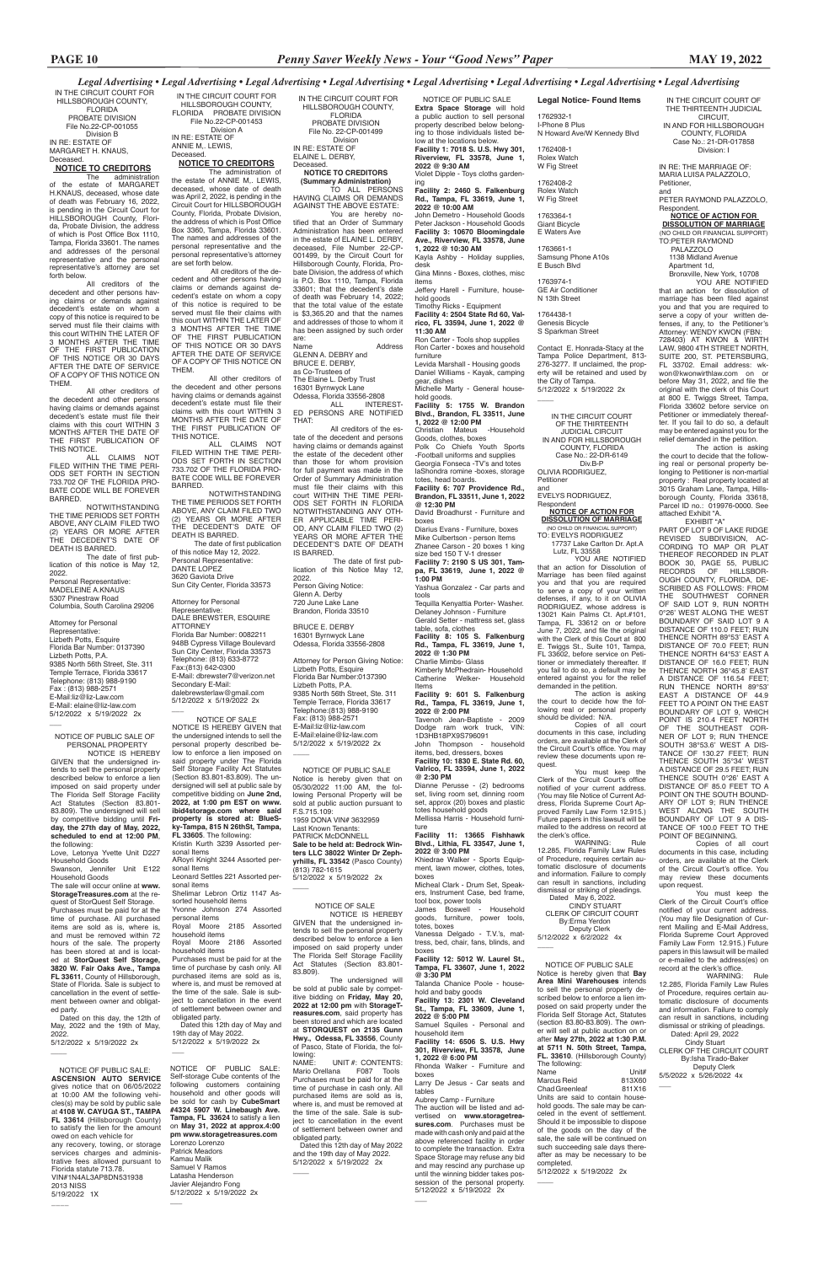#### NOTICE OF PUBLIC SALE OF PERSONAL PROPERTY

 $\overline{\phantom{a}}$ 

*Legal Advertising • Legal Advertising • Legal Advertising • Legal Advertising • Legal Advertising • Legal Advertising • Legal Advertising • Legal Advertising*

NOTICE IS HEREBY GIVEN that the undersigned intends to sell the personal property described below to enforce a lien imposed on said property under The Florida Self Storage Facility Act Statutes (Section 83.801- 83.809). The undersigned will sell by competitive bidding until **Fri-day, the 27th day of May, 2022, scheduled to end at 12:00 PM**, the following:

Love, Letonya Yvette Unit D227 Household Goods Swanson, Jennifer Unit E122

Household Goods The sale will occur online at **www.**

> The undersigned will be sold at public sale by competitive bidding on **Friday, May 20, 2022 at 12:00 pm** with **StorageTreasures.com**, said property has been stored and which are located at **STORQUEST on 2135 Gunn Hwy., Odessa, FL 33556**, County of Pasco, State of Florida, the following:<br>NAME:

**StorageTreasures.com** at the request of StorQuest Self Storage. Purchases must be paid for at the time of purchase. All purchased items are sold as is, where is,

and must be removed within 72 hours of the sale. The property has been stored at and is located at **StorQuest Self Storage, 3820 W. Fair Oaks Ave., Tampa FL 33611**, County of Hillsborough, State of Florida. Sale is subject to cancellation in the event of settlement between owner and obligated party.

> UNIT #: CONTENTS: Mario Orellana F087 Tools Purchases must be paid for at the time of purchase in cash only. All purchased items are sold as is, where is, and must be removed at the time of the sale. Sale is subject to cancellation in the event of settlement between owner and obligated party.

 Dated on this day, the 12th of May, 2022 and the 19th of May, 2022.

5/12/2022 x 5/19/2022 2x

 $\overline{\phantom{a}}$ 

 NOTICE OF SALE NOTICE IS HEREBY GIVEN that the undersigned in-

tends to sell the personal property described below to enforce a lien imposed on said property under The Florida Self Storage Facility Act Statutes (Section 83.801- 83.809).

**Facility 9: 601 S. Falkenburg Rd., Tampa, FL 33619, June 1, 2022 @ 2:00 PM** Tavenoh Jean-Baptiste - 2009 Dodge ram work truck, VIN:

 Dated this 12th day of May 2022 and the 19th day of May 2022. 5/12/2022 x 5/19/2022 2x

 $\overline{\phantom{a}}$ 

ment, lawn mower, clothes, totes, boxes Micheal Clark - Drum Set, Speak-

 NOTICE OF PUBLIC SALE **Extra Space Storage** will hold a public auction to sell personal property described below belonging to those individuals listed below at the locations below. **Facility 1: 7018 S. U.S. Hwy 301, Riverview, FL 33578, June 1,** 

**2022 @ 9:30 AM** Violet Dipple - Toys cloths gardening

**Facility 2: 2460 S. Falkenburg Rd., Tampa, FL 33619, June 1, 2022 @ 10:00 AM**

John Demetro - Household Goods Peter Jackson - Household Goods **Facility 3: 10670 Bloomingdale Ave., Riverview, FL 33578, June 1, 2022 @ 10:30 AM**

Kayla Ashby - Holiday supplies, desk Gina Minns - Boxes, clothes, misc

NOTICE OF SALE NOTICE IS HEREBY GIVEN that the undersigned intends to sell the personal property described below to enforce a lien imposed on said property under The Florida Self Storage Facility Act Statutes (Section 83.801-83.809). The undersigned will sell at public sale by competitive bidding on **June 2nd, 2022, at 1:00 pm EST on www. ibid4storage.com where said property is stored at: BlueSky-Tampa, 815 N 26thSt, Tampa, FL 33605**. The following:  $\overline{\phantom{a}}$ 

items Jeffery Harell - Furniture, house-

hold goods Timothy Ricks - Equipment

**Facility 4: 2504 State Rd 60, Valrico, FL 33594, June 1, 2022 @ 11:30 AM**

Ron Carter - Tools shop supplies Ron Carter - boxes and household furniture Levida Marshall - Housing goods

Daniel Williams - Kayak, camping gear, dishes Michelle Marty - General house-

hold goods. **Facility 5: 1755 W. Brandon** 

**Blvd., Brandon, FL 33511, June 1, 2022 @ 12:00 PM** Christian Mateus -Household Goods, clothes, boxes

Polk Co Chiefs Youth Sports -Football uniforms and supplies Georgia Fonseca -TV's and totes laShondra romine -boxes, storage totes, head boards.

**Facility 6: 707 Providence Rd., Brandon, FL 33511, June 1, 2022 @ 12:30 PM**

David Broadhurst - Furniture and boxes

Diarius Evans - Furniture, boxes Mike Culbertson - person Items Zhanee Carson - 20 boxes 1 king size bed 150 T V-1 dresser **Facility 7: 2190 S US 301, Tam-**

**pa, FL 33619, June 1, 2022 @ 1:00 PM** Yashua Gonzalez - Car parts and

tools Tequilla Kenyattia Porter- Washer.

Delaney Johnson - Furniture Gerald Setter - mattress set, glass table, sofa, clothes

AGAINST THE ABOVE ESTATE: You are hereby notified that an Order of Summary Administration has been entered in the estate of ELAINE L. DERBY, deceased, File Number 22-CP-001499, by the Circuit Court for Hillsborough County, Florida, Probate Division, the address of which is P.O. Box 1110, Tampa, Florida 33601; that the decedent's date of death was February 14, 2022; that the total value of the estate is \$3,365.20 and that the names and addresses of those to whom it has been assigned by such order are:<br>Name

> **Facility 8: 105 S. Falkenburg Rd., Tampa, FL 33619, June 1, 2022 @ 1:30 PM** Charlie Mimbs- Glass

> Kimberly McPhedrain- Household Catherine Welker- Household Items

Name Address GLENN A. DEBRY and BRUCE E. DERBY,

> 1D3HB18PX9S796091 John Thompson - household items, bed, dressers, boxes

**Facility 10: 1830 E. State Rd. 60, Valrico, FL 33594, June 1, 2022 @ 2:30 PM**

Dianne Perusse - (2) bedrooms set, living room set, dinning room set, approx (20) boxes and plastic totes household goods

Mellissa Harris - Household furniture **Facility 11: 13665 Fishhawk** 

**Blvd., Lithia, FL 33547, June 1, 2022 @ 3:00 PM** Khiedrae Walker - Sports Equip-

IN THE CIRCUIT COURT FOR HILLSBOROUGH COUNTY, FLORIDA PROBATE DIVISION File No.22-CP-001453 Division A IN RE: ESTATE OF ANNIE M,. LEWIS, **Deceased** 

> ers, Instrument Case, bed frame, tool box, power tools James Boswell - Household goods, furniture, power tools,

totes, boxes

Vanessa Delgado - T.V.'s, mattress, bed, chair, fans, blinds, and boxes

**Facility 12: 5012 W. Laurel St., Tampa, FL 33607, June 1, 2022 @ 3:30 PM**

Talanda Chanice Poole - household and baby goods

**Facility 13: 2301 W. Cleveland St., Tampa, FL 33609, June 1, 2022 @ 5:00 PM**

Samuel Squiles - Personal and household item **Facility 14: 6506 S. U.S. Hwy** 

**301, Riverview, FL 33578, June 1, 2022 @ 6:00 PM**

Rhonda Walker - Furniture and boxes

Larry De Jesus - Car seats and tables Aubrey Camp - Furniture

The auction will be listed and advertised on **www.storagetreasures.com**. Purchases must be made with cash only and paid at the above referenced facility in order to complete the transaction. Extra Space Storage may refuse any bid and may rescind any purchase up until the winning bidder takes possession of the personal property. 5/12/2022 x 5/19/2022 2x

 $\overline{\phantom{a}}$ 

Deputy Clerk<br>5/12/2022 x 6/2/2022 4x  $\overline{\phantom{a}}$ 

All other creditors of the decedent and other persons having claims or demands against decedent's estate must file their claims with this court WITHIN 3 MONTHS AFTER THE DATE OF THE FIRST PUBLICATION OF THIS NOTICE.<br>ALL

> Kristin Kurth 3239 Assorted personal Items ARoyri Knight 3244 Assorted per-

sonal Items Leonard Settles 221 Assorted personal items

CLAIMS NOT FILED WITHIN THE TIME PERI-ODS SET FORTH IN SECTION 733.702 OF THE FLORIDA PRO-BATE CODE WILL BE FOREVER BARRED.

> Shelimar Lebron Ortiz 1147 Assorted household items Yvonne Johnson 274 Assorted

personal items<br>Royal Moore 2185 Assorted

household items Royal Moore 2186 Assorted household items Purchases must be paid for at the time of purchase by cash only. All purchased items are sold as is, where is, and must be removed at the time of the sale. Sale is subject to cancellation in the event of settlement between owner and

obligated party.

 $\overline{\phantom{a}}$ 

 $\overline{\phantom{a}}$ 

 Dated this 12th day of May and 19th day of May 2022. 5/12/2022 x 5/19/2022 2x

Contact E. Honrada-Stacy at the Tampa Police Department, 813- 276-3277. If unclaimed, the property will be retained and used by the City of Tampa. 5/12/2022 x 5/19/2022 2x  $\overline{\phantom{a}}$ 

 NOTICE OF PUBLIC SALE Notice is hereby given that **Bay Area Mini Warehouses** intends to sell the personal property described below to enforce a lien imposed on said property under the Florida Self Storage Act, Statutes (section 83.80-83.809). The owner will sell at public auction on or after **May 27th, 2022 at 1:30 P.M. at 5711 N. 50th Street, Tampa, FL. 33610**. (Hillsborough County) The following:

Name Unit#<br>Marcus Reid 813X60 Marcus Reid 813X60<br>Chad Greenleaf 811X16 Chad Greenleaf

 $\overline{\phantom{a}}$ 

Div B-P OLIVIA RODRIGUEZ,

Units are said to contain household goods. The sale may be canceled in the event of settlement. Should it be impossible to dispose of the goods on the day of the sale, the sale will be continued on such succeeding sale days thereafter as may be necessary to be completed. 5/12/2022 x 5/19/2022 2x

YOU ARE NOTIFIED<br>that an action for Dissolution of Marriage has been filed against you and that you are required to serve a copy of your written defenses, if any, to it on OLIVIA RODRIGUEZ, whose address is 13021 Kain Palms Ct. Apt.#101, Tampa, FL 33612 on or before June 7, 2022, and file the original with the Clerk of this Court at 800 E. Twiggs St., Suite 101, Tampa, FL 33602, before service on Petitioner or immediately thereafter. If you fail to do so, a default may be entered against you for the relief demanded in the petition.

The action is asking the court to decide how the following real or personal property should be divided: N/A.

You must keep the Clerk of the Circuit Court's office notified of your current address. (You may file Notice of Current Address, Florida Supreme Court Approved Family Law Form 12.915.) Future papers in this lawsuit will be mailed to the address on record at the clerk's office.<br>WARNING:

IN THE CIRCUIT COURT FOR HILLSBOROUGH COUNTY, FLORIDA PROBATE DIVISION File No. 22-CP-001499 Division IN RE: ESTATE OF ELAINE L. DERBY,

Deceased. **NOTICE TO CREDITORS (Summary Administration)** TO ALL PERSONS HAVING CLAIMS OR DEMANDS

as Co-Trustees of The Elaine L. Derby Trust 16301 Byrnwyck Lane

Odessa, Florida 33556-2808

ALL INTEREST-ED PERSONS ARE NOTIFIED THAT:

All creditors of the estate of the decedent and persons having claims or demands against the estate of the decedent other than those for whom provision for full payment was made in the Order of Summary Administration must file their claims with this court WITHIN THE TIME PERI-ODS SET FORTH IN FLORIDA NOTWITHSTANDING ANY OTH-ER APPLICABLE TIME PERI-OD, ANY CLAIM FILED TWO (2) YEARS OR MORE AFTER THE DECEDENT'S DATE OF DEATH IS BARRED.

 The date of first publication of this Notice May 12, 2022. Person Giving Notice: Glenn A. Derby 720 June Lake Lane Brandon, Florida 33510

PART OF LOT 9 OF LAKE RIDGE REVISED SUBDIVISION, AC-CORDING TO MAP OR PLAT THEREOF RECORDED IN PLAT BOOK 30, PAGE 55, PUBLIC RECORDS OF HILLSBOR-OUGH COUNTY, FLORIDA, DE-SCRIBED AS FOLLOWS: FROM THE SOUTHWEST CORNER OF SAID LOT 9, RUN NORTH 0°26' WEST ALONG THE WEST BOUNDARY OF SAID LOT 9 A DISTANCE OF 110.0 FEET; RUN THENCE NORTH 89°53' EAST A DISTANCE OF 70.0 FEET; RUN THENCE NORTH 64°53' EAST A DISTANCE OF 16.0 FEET; RUN THENCE NORTH 36°45.8' EAST A DISTANCE OF 116.54 FEET; RUN THENCE NORTH 89°53' EAST A DISTANCE OF 44.9 FEET TO A POINT ON THE EAST BOUNDARY OF LOT 9, WHICH POINT IS 210.4 FEET NORTH OF THE SOUTHEAST COR-NER OF LOT 9; RUN THENCE SOUTH 38°53.6' WEST A DIS-TANCE OF 130.27 FEET; RUN THENCE SOUTH 35°34' WEST A DISTANCE OF 29.5 FEET; RUN THENCE SOUTH 0°26' EAST A DISTANCE OF 85.0 FEET TO A POINT ON THE SOUTH BOUND-ARY OF LOT 9; RUN THENCE WEST ALONG THE SOUTH BOUNDARY OF LOT 9 A DIS-TANCE OF 100.0 FEET TO THE POINT OF BEGINNING.

BRUCE E. DERBY 16301 Byrnwyck Lane Odessa, Florida 33556-2808

> rent Mailing and E-Mail Address, Florida Supreme Court Approved Family Law Form 12.915.) Future papers in this lawsuit will be mailed or e-mailed to the address(es) on record at the clerk's office. WARNING: Rule

Attorney for Person Giving Notice: Lizbeth Potts, Esquire Florida Bar Number:0137390 Lizbeth Potts, P.A. 9385 North 56th Street, Ste. 311 Temple Terrace, Florida 33617 Telephone:(813) 988-9190 Fax: (813) 988-2571 E-Mail:liz@liz-law.com E-Mail:elaine@liz-law.com 5/12/2022 x 5/19/2022 2x

 $\overline{\phantom{a}}$ 

 $\overline{\phantom{a}}$ 

12.285, Florida Family Law Rules of Procedure, requires certain automatic disclosure of documents and information. Failure to comply can result in sanctions, including dismissal or striking of pleadings. Dated: April 29, 2022 Cindy Stuart CLERK OF THE CIRCUIT COURT By:Isha Tirado-Baker Deputy Clerk 5/5/2022 x 5/26/2022 4x  $\overline{\phantom{a}}$ 

### **NOTICE TO CREDITORS**

The administration of the estate of ANNIE M,. LEWIS, deceased, whose date of death was April 2, 2022, is pending in the Circuit Court for HILLSBOROUGH County, Florida, Probate Division, the address of which is Post Office Box 3360, Tampa, Florida 33601. The names and addresses of the personal representative and the personal representative's attorney are set forth below.

 All creditors of the decedent and other persons having claims or demands against decedent's estate on whom a copy of this notice is required to be served must file their claims with this court WITHIN THE LATER OF 3 MONTHS AFTER THE TIME OF THE FIRST PUBLICATION OF THIS NOTICE OR 30 DAYS AFTER THE DATE OF SERVICE OF A COPY OF THIS NOTICE ON THEM.

All other creditors of the decedent and other persons having claims or demands against decedent's estate must file their claims with this court WITHIN 3 MONTHS AFTER THE DATE OF **THE FIRST PUBLICATION OF** THIS NOTICE.

ALL CLAIMS NOT FILED WITHIN THE TIME PERI-ODS SET FORTH IN SECTION 733.702 OF THE FLORIDA PRO-BATE CODE WILL BE FOREVER BARRED.

NOTWITHSTANDING THE TIME PERIODS SET FORTH ABOVE, ANY CLAIM FILED TWO (2) YEARS OR MORE AFTER THE DECEDENT'S DATE OF DEATH IS BARRED.

 The date of first publication of this notice May 12, 2022. Personal Representative: DANTE LOPEZ 3620 Gaviota Drive Sun City Center, Florida 33573

Attorney for Personal Representative: DALE BREWSTER, ESQUIRE ATTORNEY Florida Bar Number: 0082211 948B Cypress Village Boulevard Sun City Center, Florida 33573 Telephone: (813) 633-8772 Fax:(813) 642-0300 E-Mail: dbrewster7@verizon.net Secondary E-Mail: dalebrewsterlaw@gmail.com 5/12/2022 x 5/19/2022 2x

IN THE CIRCUIT COURT FOR HILLSBOROUGH COUNTY, FLORIDA PROBATE DIVISION File No.22-CP-001055 Division B IN RE: ESTATE OF MARGARET H. KNAUS, Deceased.

# **NOTICE TO CREDITORS**

The administration of the estate of MARGARET H.KNAUS, deceased, whose date of death was February 16, 2022, is pending in the Circuit Court for HILLSBOROUGH County, Florida, Probate Division, the address of which is Post Office Box 1110, Tampa, Florida 33601. The names and addresses of the personal representative and the personal representative's attorney are set forth below.

All creditors of the decedent and other persons having claims or demands against decedent's estate on whom a copy of this notice is required to be served must file their claims with this court WITHIN THE LATER OF 3 MONTHS AFTER THE TIME OF THE FIRST PUBLICATION OF THIS NOTICE OR 30 DAYS AFTER THE DATE OF SERVICE OF A COPY OF THIS NOTICE ON THEM.

NOTWITHSTANDING THE TIME PERIODS SET FORTH ABOVE, ANY CLAIM FILED TWO (2) YEARS OR MORE AFTER THE DECEDENT'S DATE OF DEATH IS BARRED.

The date of first publication of this notice is May 12, 2022. Personal Representative:

MADELEINE A.KNAUS 5307 Pinestraw Road Columbia, South Carolina 29206

Attorney for Personal Representative: Lizbeth Potts, Esquire Florida Bar Number: 0137390 Lizbeth Potts, P.A. 9385 North 56th Street, Ste. 311 Temple Terrace, Florida 33617 Telephone: (813) 988-9190 Fax : (813) 988-2571 E-Mail:liz@liz-Law.com E-Mail: elaine@liz-law.com 5/12/2022 x 5/19/2022 2x

> NOTICE OF PUBLIC SALE Notice is hereby given that on 05/30/2022 11:00 AM, the following Personal Property will be sold at public auction pursuant to F.S.715.109: 1959 DONA VIN# 3632959 Last Known Tenants: PATRICK McDONNELL **Sale to be held at: Bedrock Winters LLC 38022 Winter Dr Zephyrhills, FL 33542** (Pasco County) (813) 782-1615 5/12/2022 x 5/19/2022 2x

**Legal Notice- Found Items** 1762932-1 I-Phone 8 Plus N Howard Ave/W Kennedy Blvd

1762408-1 Rolex Watch W Fig Street

1762408-2 Rolex Watch W Fig Street

1763364-1 Giant Bicycle E Waters Ave

1763661-1 Samsung Phone A10s E Busch Blvd

1763974-1 GE Air Conditioner N 13th Street

1764438-1 Genesis Bicycle S Sparkman Street

IN THE CIRCUIT COURT OF THE THIRTEENTH JUDICIAL CIRCUIT IN AND FOR HILLSBOROUGH COUNTY, FLORIDA Case No.: 22-DR-6149

Petitioner and

EVELYS RODRIGUEZ,

Respondent **NOTICE OF ACTION FOR DISSOLUTION OF MARRIAGE**

(NO CHILD OR FINANCIAL SUPPORT) TO: EVELYS RODRIGUEZ

 17737 Lake Carlton Dr. Apt.A Lutz, FL 33558

Copies of all court documents in this case, including orders, are available at the Clerk of the Circuit Court's office. You may review these documents upon request.

WARNING: Rule 12.285, Florida Family Law Rules of Procedure, requires certain automatic disclosure of documents and information. Failure to comply can result in sanctions, including dismissal or striking of pleadings.

 Dated May 6, 2022. CINDY STUART CLERK OF CIRCUIT COURT By:Erma Yerdon

IN THE CIRCUIT COURT OF THE THIRTEENTH JUDICIAL CIRCUIT, IN AND FOR HILLSBOROUGH COUNTY, FLORIDA Case No.: 21-DR-017858 Division: I IN RE: THE MARRIAGE OF: MARIA LUISA PALAZZOLO,

Petitioner, and

PETER RAYMOND PALAZZOLO,

Respondent.

**NOTICE OF ACTION FOR DISSOLUTION OF MARRIAGE** (NO CHILD OR FINANCIAL SUPPORT)

TO:PETER RAYMOND PALAZZOLO 1138 Midland Avenue Apartment 1d,

 Bronxville, New York, 10708 YOU ARE NOTIFIED that an action for dissolution of marriage has been filed against you and that you are required to serve a copy of your written defenses, if any, to the Petitioner's Attorney: WENDY KWON (FBN: 728403) AT KWON & WIRTH LAW, 9800 4TH STREET NORTH, SUITE 200, ST. PETERSBURG, FL 33702. Email address: wkwon@kwonwirthlaw.com on or before May 31, 2022, and file the original with the clerk of this Court at 800 E. Twiggs Street, Tampa, Florida 33602 before service on Petitioner or immediately thereafter. If you fail to do so, a default may be entered against you for the relief demanded in the petition.

The action is asking the court to decide that the following real or personal property belonging to Petitioner is non-martial property : Real property located at 3015 Graham Lane, Tampa, Hillsborough County, Florida 33618, Parcel ID no.: 019976-0000. See

attached Exhibit "A. EXHIBIT "A"

Copies of all court documents in this case, including orders, are available at the Clerk of the Circuit Court's office. You may review these documents

upon request.

You must keep the Clerk of the Circuit Court's office notified of your current address. (You may file Designation of Cur-

NOTICE OF PUBLIC SALE: Self-storage Cube contents of the following customers containing household and other goods will be sold for cash by **CubeSmart #4324 5907 W. Linebaugh Ave. Tampa, FL 33624** to satisfy a lien on **May 31, 2022 at approx.4:00 pm www.storagetreasures.com** .<br>Lorenzo Lorenzo Patrick Meadors Kamau Malik Samuel V Ramos Latasha Henderson Javier Alejandro Fong 5/12/2022 x 5/19/2022 2x

 NOTICE OF PUBLIC SALE: **ASCENSION AUTO SERVICE**  gives notice that on 06/05/2022 at 10:00 AM the following vehicles(s) may be sold by public sale at **4108 W. CAYUGA ST., TAMPA FL 33614** (Hillsborough County) to satisfy the lien for the amount owed on each vehicle for any recovery, towing, or storage services charges and administrative fees allowed pursuant to Florida statute 713.78. VIN#1N4AL3AP8DN531938 2013 NISS 5/19/2022 1X

\_\_\_\_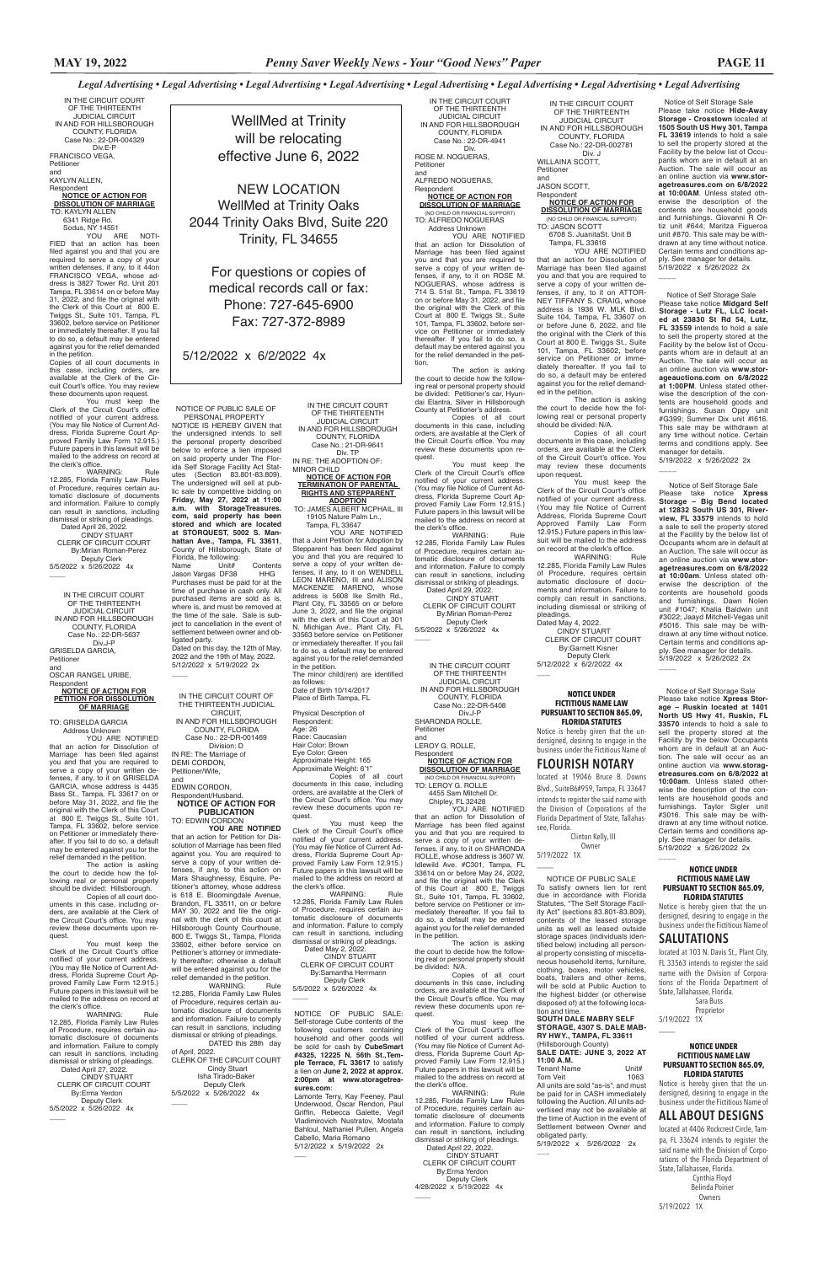#### NOTICE OF PUBLIC SALE OF PERSONAL PROPERTY

2022 and the 19th of May, 2022. 5/12/2022 x 5/19/2022 2x  $\overline{\phantom{a}}$ 

NOTICE IS HEREBY GIVEN that the undersigned intends to sell the personal property described below to enforce a lien imposed on said property under The Florida Self Storage Facility Act Statutes (Section 83.801-83.809). The undersigned will sell at public sale by competitive bidding on **Friday, May 27, 2022 at 11:00 a.m. with StorageTreasures. com, said property has been stored and which are located at STORQUEST, 5002 S. Manhattan Ave., Tampa, FL 33611**, County of Hillsborough, State of Florida, the following:<br>Name Unit# Name Unit# Contents Jason Vargas DF38 HHG Purchases must be paid for at the time of purchase in cash only. All

purchased items are sold as is, .<br>where is, and must be removed at the time of the sale. Sale is subject to cancellation in the event of settlement between owner and obligated party. Dated on this day, the 12th of May,

IN THE CIRCUIT COURT OF THE THIRTEENTH JUDICIAL CIRCUIT IN AND FOR HILLSBOROUGH COUNTY, FLORIDA Case No.: 22-DR-004329 Div.E-P<br>,FRANCISCO VEGA **Petitioner** and KAYLYN ALLEN, Respondent **NOTICE OF ACTION FOR**

Dated April 26, 2022. CINDY STUART

5/5/2022 x 5/26/2022 4x  $\overline{\phantom{a}}$ 

**DISSOLUTION OF MARRIAGE** TO: KAYLYN ALLEN 6341 Ridge Rd.

#### OSCAR RANGEL URIBE, **Respondent**

 Sodus, NY 14551 YOU ARE NOTI-FIED that an action has been filed against you and that you are required to serve a copy of your written defenses, if any, to it 44on FRANCISCO VEGA, whose address is 3827 Tower Rd. Unit 201 Tampa, FL 33614 on or before May 31, 2022, and file the original with the Clerk of this Court at 800 E. Twiggs St., Suite 101, Tampa, FL 33602, before service on Petitioner or immediately thereafter. If you fail to do so, a default may be entered against you for the relief demanded in the petition.

Copies of all court documents in this case, including orders, are available at the Clerk of the Circuit Court's office. You may review these documents upon request.

the clerk's office. WARNING: Rule 12.285, Florida Family Law Rules of Procedure, requires certain automatic disclosure of documents and information. Failure to comply can result in sanctions, including dismissal or striking of pleadings. Dated April 27, 2022. CINDY STUART CLERK OF CIRCUIT COURT By:Erma Yerdon Deputy Clerk 5/5/2022 x 5/26/2022 4x  $\overline{\phantom{a}}$ 

You must keep the Clerk of the Circuit Court's office notified of your current address. (You may file Notice of Current Address, Florida Supreme Court Approved Family Law Form 12.915.) Future papers in this lawsuit will be mailed to the address on record at

the clerk's office. WARNING: Rule 12.285, Florida Family Law Rules of Procedure, requires certain automatic disclosure of documents and information. Failure to comply can result in sanctions, including dismissal or striking of pleadings.

 CLERK OF CIRCUIT COURT By:Mirian Roman-Perez Deputy Clerk

IN THE CIRCUIT COURT OF THE THIRTEENTH JUDICIAL CIRCUIT IN AND FOR HILLSBOROUGH COUNTY, FLORIDA Case No.: 22-DR-5637 Div.J-P GRISELDA GARCIA, **Petitioner** and

# **NOTICE OF ACTION FOR PETITION FOR DISSOLUTION OF MARRIAGE**

TO: GRISELDA GARCIA

the clerk's office.<br>WARNING: WARNING: Rule 12.285, Florida Family Law Rules of Procedure, requires certain automatic disclosure of documents and information. Failure to comply can result in sanctions, including dismissal or striking of pleadings.

5/5/2022 x 5/26/2022 4x  $\overline{\phantom{a}}$ 

 Address Unknown YOU ARE NOTIFIED that an action for Dissolution of Marriage has been filed against you and that you are required to serve a copy of your written de-fenses, if any, to it on GRISELDA GARCIA, whose address is 4435 Bass St., Tampa, FL 33617 on or before May 31, 2022, and file the original with the Clerk of this Court at 800 E. Twiggs St., Suite 101, Tampa, FL 33602, before service on Petitioner or immediately thereafter. If you fail to do so, a default may be entered against you for the relief demanded in the petition.

The action is asking the court to decide how the following real or personal property should be divided: Hillsborough.

Copies of all court documents in this case, including orders, are available at the Clerk of the Circuit Court's office. You may

review these documents upon request.

You must keep the Clerk of the Circuit Court's office notified of your current address. (You may file Notice of Current Address, Florida Supreme Court Approved Family Law Form 12.915.) Future papers in this lawsuit will be mailed to the address on record at the clerk's office.<br>
WARNING

You must keep the Clerk of the Circuit Court's office notified of your current address. (You may file Notice of Current Address, Florida Supreme Court Approved Family Law Form 12.915.) Future papers in this lawsuit will be mailed to the address on record at

 Chipley, FL 32428 YOU ARE NOTIFIED that an action for Dissolution of Marriage has been filed against you and that you are required to serve a copy of your written de-fenses, if any, to it on SHARONDA ROLLE, whose address is 3607 W. Idlewild Ave. #C301, Tampa, FL 33614 on or before May 24, 2022, and file the original with the Clerk of this Court at 800 E. Twiggs St., Suite 101, Tampa, FL 33602, before service on Petitioner or immediately thereafter. If you fail to do so, a default may be entered t you for the reli

WellMed at Trinity will be relocating effective June 6, 2022

NEW LOCATION WellMed at Trinity Oaks 2044 Trinity Oaks Blvd, Suite 220 Trinity, FL 34655

For questions or copies of medical records call or fax: Phone: 727-645-6900 Fax: 727-372-8989

5/12/2022 x 6/2/2022 4x

You must keep the Clerk of the Circuit Court's office notified of your current address. (You may file Notice of Current Address, Florida Supreme Court Approved Family Law Form 12.915.) Future papers in this lawsuit will be mailed to the address on record at the clerk's office.<br>WARNING:

IN THE CIRCUIT COURT OF THE THIRTEENTH JUDICIAL CIRCUIT IN AND FOR HILLSBOROUGH COUNTY, FLORIDA Case No.: 22-DR-4941 Div. ROSE M. NOGUERAS, Petitioner and ALFREDO NOGUERAS,

Respondent **NOTICE OF ACTION FOR DISSOLUTION OF MARRIAGE**

 CINDY STUART CLERK OF CIRCUIT COURT By:Erma Yerdon Deputy Clerk 4/28/2022 x 5/19/2022 4x  $\overline{\phantom{a}}$ 

(NO CHILD OR FINANCIAL SUPPORT) TO: ALFREDO NOGUERAS Address Unknown YOU ARE NOTIFIED that an action for Dissolution of Marriage has been filed against you and that you are required to serve a copy of your written defenses, if any, to it on ROSE M. NOGUERAS, whose address is 714 S. 51st St., Tampa, FL 33619 on or before May 31, 2022, and file the original with the Clerk of this Court at 800 E. Twiggs St., Suite 101, Tampa, FL 33602, before service on Petitioner or immediately thereafter. If you fail to do so, a default may be entered against you for the relief demanded in the petition.

The action is asking the court to decide how the following real or personal property should be divided: Petitioner's car, Hyundai Elantra, Silver in Hillsborough County at Petitioner's address.

Copies of all court documents in this case, including orders, are available at the Clerk of the Circuit Court's office. You may review these documents upon request.

Lamonte Terry, Kay Feeney, Paul Underwood, Oscar Rendon, Paul Griffin, Rebecca Galette, Vegif Vladimirovich Nustratov, Mostafa Bahloul, Nathaniel Pullen, Angela Cabello, Maria Romano 5/12/2022 x 5/19/2022 2x  $\overline{\phantom{a}}$ 

You must keep the Clerk of the Circuit Court's office notified of your current address. (You may file Notice of Current Ad-dress, Florida Supreme Court Approved Family Law Form 12.915.) Future papers in this lawsuit will be mailed to the address on record at

 6708 S. JuanitaSt. Unit B Tampa, FL 33616 YOU ARE NOTIFIED

 Dated April 29, 2022. CINDY STUART CLERK OF CIRCUIT COURT By:Mirian Roman-Perez Deputy Clerk

You must keep the Clerk of the Circuit Court's office notified of your current address. (You may file Notice of Current Address, Florida Supreme Court Approved Family Law Form 12.915.) Future papers in this lawsuit will be mailed to the address on record at the clerk's office.<br>WARNING: Rule

IN THE CIRCUIT COURT OF THE THIRTEENTH JUDICIAL CIRCUIT IN AND FOR HILLSBOROUGH COUNTY, FLORIDA Case No.: 21-DR-9641

Div. TP IN RE: THE ADOPTION OF: MINOR CHILD

# **NOTICE OF ACTION FOR TERMINATION OF PARENTAL RIGHTS AND STEPPARENT**

WARNING: 12.285, Florida Family Law Rules of Procedure, requires certain automatic disclosure of documents and information. Failure to comply can result in sanctions, including dismissal or striking of pleadings.

**ADOPTION** TO: JAMES ALBERT MCPHAIL, III 19105 Nature Palm Ln., Tampa, FL 33647

YOU ARE NOTIFIED that a Joint Petition for Adoption by Stepparent has been filed against you and that you are required to serve a copy of your written de-fenses, if any, to it on WENDELL LEON MARENO, III and ALISON MACKENZIE MARENO, whose address is 5608 Ike Smith Rd., Plant City, FL 33565 on or before June 3, 2022, and file the original with the clerk of this Court at 301 N. Michigan Ave., Plant City, FL 33563 before service on Petitioner or immediately thereafter. If you fail to do so, a default may be entered against you for the relief demanded in the petition. The minor child(ren) are identified

as follows: Date of Birth 10/14/2017 Place of Birth Tampa, FL

Physical Description of Respondent: Age: 26 Race: Caucasian Hair Color: Brown Eye Color: Green Approximate Height: 165 Approximate Weight: 6'1" Copies of all court documents in this case, including orders, are available at the Clerk of the Circuit Court's office. You may review these documents upon request.

WARNING: Rule 12.285, Florida Family Law Rules of Procedure, requires certain automatic disclosure of documents and information. Failure to comply can result in sanctions, including dismissal or striking of pleadings. Dated May 2, 2022. CINDY STUART CLERK OF CIRCUIT COURT By:Samantha Herrmann Deputy Clerk 5/5/2022 x 5/26/2022 4x

 $\overline{\phantom{a}}$ 

5/19/2022 1X  $\overline{\phantom{a}}$ 

IN THE CIRCUIT COURT OF THE THIRTEENTH JUDICIAL CIRCUIT IN AND FOR HILLSBOROUGH COUNTY, FLORIDA Case No.: 22-DR-5408 Div.J-P

SHARONDA ROLLE, Petitioner and LEROY G. ROLLE, Respondent

**NOTICE OF ACTION FOR**

**DISSOLUTION OF MARRIAGE** (NO CHILD OR FINANCIAL SUPPORT) TO: LEROY G. ROLLE 4455 Sam Mitchell Dr.

#### Tenant Name Unit#<br>Tom Veit 1063 Tom Veit 1063

in the petition.

The action is asking the court to decide how the following real or personal property should be divided: N/A.

Copies of all court documents in this case, including orders, are available at the Clerk of the Circuit Court's office. You may review these documents upon request.

WARNING: Rule 12.285, Florida Family Law Rules of Procedure, requires certain automatic disclosure of documents and information. Failure to comply can result in sanctions, including dismissal or striking of pleadings. Dated April 22, 2022.

IN THE CIRCUIT COURT OF THE THIRTEENTH JUDICIAL CIRCUIT, IN AND FOR HILLSBOROUGH COUNTY, FLORIDA Case No.: 22-DR-001469 Division: D IN RE: The Marriage of DEMI CORDON, Petitioner/Wife, and EDWIN CORDON,

#### Respondent/Husband. **NOTICE OF ACTION FOR PUBLICATION** TO: EDWIN CORDON

**YOU ARE NOTIFIED**  that an action for Petition for Dissolution of Marriage has been filed against you. You are required to serve a copy of your written defenses, if any, to this action on Mara Shaughnessy, Esquire, Petitioner's attorney, whose address is 618 E. Bloomingdale Avenue, Brandon, FL 33511, on or before MAY 30, 2022 and file the original with the clerk of this court at County Courthol 800 E. Twiggs St., Tampa, Florida 33602, either before service on Petitioner's attorney or immediately thereafter; otherwise a default will be entered against you for the relief demanded in the petition.<br>WARNING: Rule WARNING: 12.285, Florida Family Law Rules of Procedure, requires certain automatic disclosure of documents and information. Failure to comply can result in sanctions, including dismissal or striking of pleadings. DATED this 28th day of April, 2022. CLERK OF THE CIRCUIT COURT Cindy Stuart Isha Tirado-Baker Deputy Clerk 5/5/2022 x 5/26/2022 4x

 $\overline{\phantom{a}}$ 

NOTICE OF PUBLIC SALE: Self-storage Cube contents of the following customers containing household and other goods will be sold for cash by **CubeSmart #4325, 12225 N. 56th St.,Temple Terrace, FL 33617** to satisfy a lien on **June 2, 2022 at approx. 2:00pm at www.storagetreasures.com**:

IN THE CIRCUIT COURT OF THE THIRTEENTH JUDICIAL CIRCUIT IN AND FOR HILLSBOROUGH COUNTY, FLORIDA Case No.: 22-DR-002781 Div. J

WILLAINA SCOTT, Petitioner and JASON SCOTT,

Respondent **NOTICE OF ACTION FOR DISSOLUTION OF MARRIAGE**

(NO CHILD OR FINANCIAL SUPPORT) TO: JASON SCOTT

that an action for Dissolution of Marriage has been filed against you and that you are required to serve a copy of your written defenses, if any, to it on ATTOR-NEY TIFFANY S. CRAIG, whose address is 1936 W. MLK Blvd. Suite 104, Tampa, FL 33607 on or before June 6, 2022, and file the original with the Clerk of this Court at 800 E. Twiggs St., Suite 101, Tampa, FL 33602, before service on Petitioner or immediately thereafter. If you fail to do so, a default may be entered against you for the relief demanded in the petition.

The action is asking the court to decide how the following real or personal property should be divided: N/A.

Copies of all court documents in this case, including orders, are available at the Clerk of the Circuit Court's office. You may review these documents upon request.

Dated May 4, 2022. CINDY STUART CLERK OF CIRCUIT COURT By:Garnett Kisner Deputy Clerk 5/12/2022 x 6/2/2022 4x

\_\_\_

 Notice of Self Storage Sale Please take notice **Hide-Away Storage - Crosstown** located at **1505 South US Hwy 301, Tampa FL 33619** intends to hold a sale to sell the property stored at the Facility by the below list of Occupants whom are in default at an Auction. The sale will occur as an online auction via **www.storagetreasures.com on 6/8/2022 at 10:00AM**. Unless stated otherwise the description of the contents are household goods and furnishings. Giovanni R Ortiz unit #644; Maritza Figueroa unit #870. This sale may be withdrawn at any time without notice. Certain terms and conditions apply. See manager for details. 5/19/2022 x 5/26/2022 2x \_\_\_\_

 Notice of Self Storage Sale Please take notice **Midgard Self Storage - Lutz FL, LLC located at 23830 St Rd 54, Lutz, FL 33559** intends to hold a sale to sell the property stored at the Facility by the below list of Occupants whom are in default at an Auction. The sale will occur as an online auction via **www.storageauctions.com on 6/8/2022 at 1:00PM**. Unless stated otherwise the description of the contents are household goods and furnishings. Susan Oppy unit #G399; Summer Dix unit #I616. This sale may be withdrawn at any time without notice. Certain terms and conditions apply. See manager for details. 5/19/2022 x 5/26/2022 2x \_\_\_\_

 Notice of Self Storage Sale Please take notice **Xpress Storage – Big Bend located at 12832 South US 301, Riverview, FL 33579** intends to hold a sale to sell the property stored at the Facility by the below list of Occupants whom are in default at an Auction. The sale will occur as an online auction via **www.storagetreasures.com on 6/8/2022 at 10:00am**. Unless stated otherwise the description of the contents are household goods and furnishings. Dawn Nolen unit #1047; Khalia Baldwin unit #3022; Jaayd Mitchell-Vegas unit #5016. This sale may be withdrawn at any time without notice. Certain terms and conditions apply. See manager for details. 5/19/2022 x 5/26/2022 2x

\_\_\_\_

 Notice of Self Storage Sale Please take notice **Xpress Storage – Ruskin located at 1401 North US Hwy 41, Ruskin, FL 33570** intends to hold a sale to sell the property stored at the Facility by the below Occupants whom are in default at an Auction. The sale will occur as an online auction via **www.storagetreasures.com on 6/8/2022 at 10:00am**. Unless stated otherwise the description of the contents are household goods and furnishings. Taylor Sigler unit #3016. This sale may be withdrawn at any time without notice. Certain terms and conditions apply. See manager for details. 5/19/2022 x 5/26/2022 2x

\_\_\_\_

#### **NOTICE UNDER FICTITIOUS NAME LAW PURSUANT TO SECTION 865.09, FLORIDA STATUTES**

Notice is hereby given that the undersigned, desiring to engage in the business under the Fictitious Name of

**SALUTATIONS** 

located at 103 N. Davis St., Plant City, FL 33563 intends to register the said name with the Division of Corporations of the Florida Department of State, Tallahassee, Florida. Sara Buss Proprietor

### **NOTICE UNDER FICTITIOUS NAME LAW PURSUANT TO SECTION 865.09, FLORIDA STATUTES**

Notice is hereby given that the undersigned, desiring to engage in the business under the Fictitious Name of

# **ALL ABOUT DESIGNS**

located at 4406 Rockcrest Circle, Tam-

pa, FL 33624 intends to register the said name with the Division of Corporations of the Florida Department of State, Tallahassee, Florida. Cynthia Floyd Belinda Poirier Owners 5/19/2022 1X

#### **NOTICE UNDER FICTITIOUS NAME LAW PURSUANT TO SECTION 865.09, FLORIDA STATUTES**

Notice is hereby given that the undersigned, desiring to engage in the business under the Fictitious Name of

## **FLOURISH NOTARY**

located at 19046 Bruce B. Downs Blvd., SuiteB6#959, Tampa, FL 33647 intends to register the said name with the Division of Corporations of the Florida Department of State, Tallahassee, Florida.

 Clinton Kelly, III Owner 5/19/2022 1X

 $\overline{\phantom{a}}$ 

 NOTICE OF PUBLIC SALE To satisfy owners lien for rent due in accordance with Florida Statutes, "The Self Storage Facility Act" (sections 83.801-83.809), contents of the leased storage units as well as leased outside storage spaces (individuals identified below) including all personal property consisting of miscellaneous household items, furniture, clothing, boxes, motor vehicles, boats, trailers and other items, will be sold at Public Auction to the highest bidder (or otherwise disposed of) at the following location and time. **SOUTH DALE MABRY SELF STORAGE, 4307 S. DALE MAB-RY HWY., TAMPA, FL 33611** (Hillsborough County) **SALE DATE: JUNE 3, 2022 AT 11:00 A.M.**

All units are sold "as-is", and must be paid for in CASH immediately following the Auction. All units advertised may not be available at the time of Auction in the event of Settlement between Owner and obligated party.

#### 5/19/2022 x 5/26/2022 2x

\_\_\_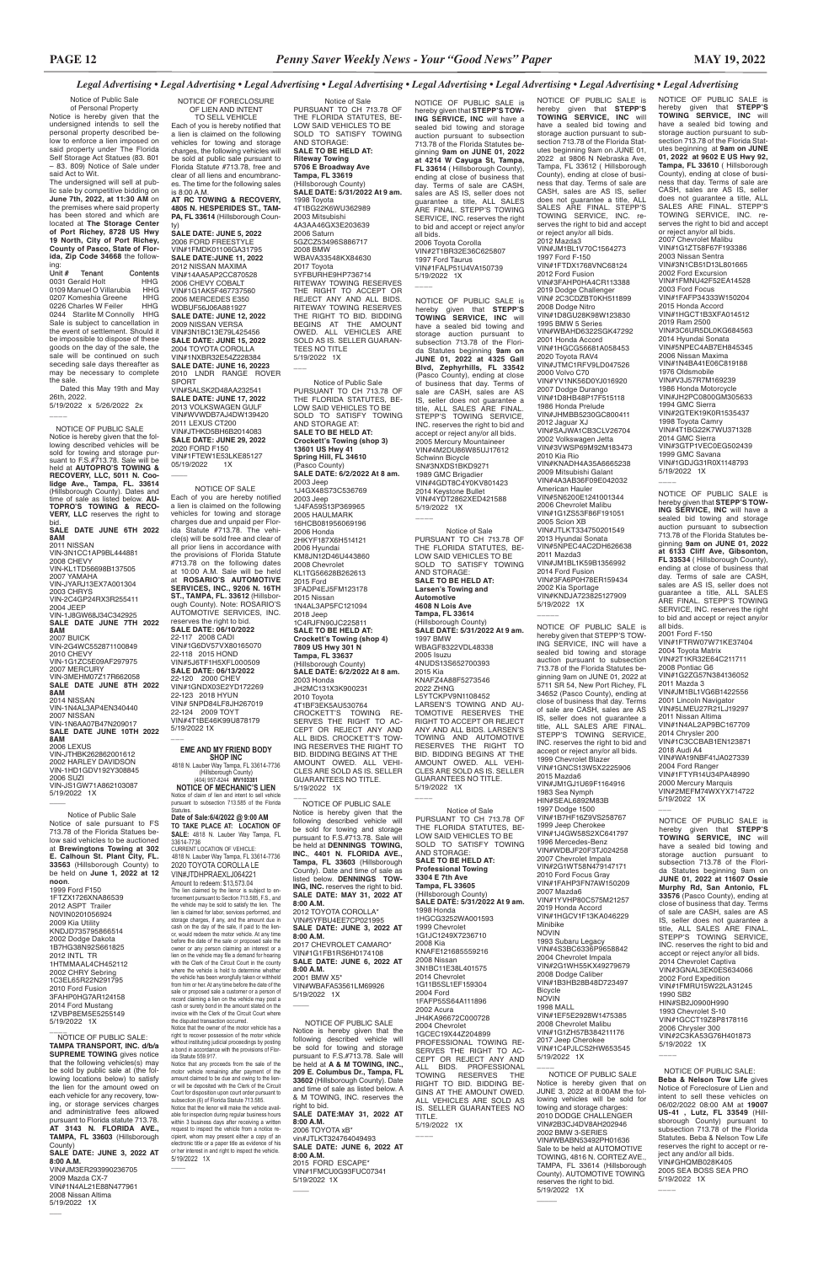NOTICE OF PUBLIC SALE Notice is hereby given that on JUNE 3, 2022 at 8:00AM the following vehicles will be sold for towing and storage charges: 2010 DODGE CHALLENGER VIN#2B3CJ4DV8AH202946 2002 BMW 3-SERIES VIN#WBABN53492PH01636 Sale to be held at AUTOMOTIVE TOWING, 4816 N. CORTEZ AVE., TAMPA, FL 33614 (Hillsborough County). AUTOMOTIVE TOWING reserves the right to bid. 5/19/2022 1X

 $\overline{\phantom{a}}$ 

 NOTICE OF PUBLIC SALE: **Beba & Nelson Tow Life** gives Notice of Foreclosure of Lien and intent to sell these vehicles on 06/02/2022 08:00 AM at **19007 US-41 , Lutz, FL 33549** (Hillsborough County) pursuant to subsection 713.78 of the Florida Statutes. Beba & Nelson Tow Life reserves the right to accept or reject any and/or all bids. VIN#GHQMB028K405 2005 SEA BOSS SEA PRO 5/19/2022 1X \_\_\_\_

 $\overline{\phantom{a}}$ 

NOTICE OF PUBLIC SALE is hereby given that **STEPP'S TOWING SERVICE, INC** will have a sealed bid towing and storage auction pursuant to subsection 713.78 of the Florida Statutes beginning at **9am on JUNE 01, 2022 at 9602 E US Hwy 92, Tampa, FL 33610** ( Hillsborough County), ending at close of business that day. Terms of sale are CASH, sales are AS IS, seller does not guarantee a title, ALL SALES ARE FINAL. STEPP'S TOWING SERVICE, INC. reserves the right to bid and accept or reject any/or all bids. 2007 Chevrolet Malibu VIN#1G1ZT58F67F193386 2003 Nissan Sentra VIN#3N1CB51D13L801665 2002 Ford Excursion VIN#1FMNU42F52EA14528 2003 Ford Focus VIN#1FAFP34333W150204 2015 Honda Accord VIN#1HGCT1B3XFA014512 2019 Ram 2500 VIN#3C6UR5DL0KG684563 2014 Hyundai Sonata VIN#5NPEC4AB7EH845345 2006 Nissan Maxima VIN#1N4BA41E06C819188 1976 Oldsmobile VIN#V3J57R7M169239 1986 Honda Motorcycle VIN#JH2PC0800GM305633 1994 GMC Sierra VIN#2GTEK19K0R1535437 1998 Toyota Camry VIN#4T1BG22K7WU371328 2014 GMC Sierra VIN#3GTP1VEC0EG502439 1999 GMC Savana VIN#1GDJG31R0X1148793 5/19/2022 1X \_\_\_\_

NOTICE OF PUBLIC SALE is hereby given that **STEPP'S TOW-ING SERVICE, INC** will have a sealed bid towing and storage auction pursuant to subsection 713.78 of the Florida Statutes beginning **9am on JUNE 01, 2022 at 6133 Cliff Ave, Gibsonton, FL 33534** ( Hillsborough County), ending at close of business that day. Terms of sale are CASH, sales are AS IS, seller does not guarantee a title, ALL SALES ARE FINAL. STEPP'S TOWING SERVICE, INC. reserves the right to bid and accept or reject any/or all bids.

2001 Ford F-150 VIN#1FTRW07W71KE37404 2004 Toyota Matrix VIN#2T1KR32E64C211711 2008 Pontiac G6 VIN#1G2ZG57N384136052 2011 Mazda 3 VIN#JM1BL1VG6B1422556 2001 Lincoln Navigator VIN#5LMEU27R21LJ19297 2011 Nissan Altima VIN#1N4AL2AP9BC167709 2014 Chrysler 200 VIN#1C3CCBAB1EN123871 2018 Audi A4 VIN#WA19NBF41JA027339 2004 Ford Ranger VIN#1FTYR14U34PA48990 2000 Mercury Marquis VIN#2MEFM74WXYX714722 5/19/2022 1X \_\_\_

NOTICE OF PUBLIC SALE is hereby given that **STEPP'S TOWING SERVICE, INC** will have a sealed bid towing and storage auction pursuant to subsection 713.78 of the Florida Statutes beginning 9am on JUNE 01, 2022 at 9806 N Nebraska Ave, Tampa, FL 33612 ( Hillsborough County), ending at close of business that day. Terms of sale are CASH, sales are AS IS, seller does not guarantee a title, ALL SALES ARE FINAL. STEPP'S TOWING SERVICE, INC. reserves the right to bid and accept or reject any/or all bids. 2012 Mazda3 VIN#JM1BL1V70C1564273 1997 Ford F-150 VIN#1FTDX1768VNC68124 2012 Ford Fusion VIN#3FAHP0HA4CR113388 2019 Dodge Challenger VIN# 2C3CDZBT0KH511899 2008 Dodge Nitro VIN#1D8GU28K98W123830 1995 BMW 5 Series VIN#WBAHD6322SGK47292 2001 Honda Accord VIN#1HGCG56681A058453 2020 Toyota RAV4 VIN#JTMC1RFV9LD047526 2000 Volvo C70 VIN#YV1NK56D0YJ016920 2007 Dodge Durango VIN#1D8HB48P17F515118 1986 Honda Prelude VIN#JHMBB5230GC800411 2012 Jaguar XJ VIN#SAJWA1CB3CLV26704 2002 Volkswagen Jetta VIN#3VWSP69M92M183473 2010 Kia Rio VIN#KNADH4A35A6665238 2009 Mitsubishi Galant VIN#4A3AB36F09E042032 American Hauler VIN#5N6200E1241001344 2006 Chevrolet Malibu VIN#1G1ZS53F86F191051 2005 Scion XB VIN#JTLKT334750201549 2013 Hyundai Sonata VIN#5NPEC4AC2DH626638 2011 Mazda3 VIN#JM1BL1K59B1356992 2014 Ford Fusion VIN#3FA6P0H78ER159434 2002 Kia Sportage

VIN#KNDJA723825127909

5/19/2022 1X \_\_\_\_\_

NOTICE OF PUBLIC SALE is hereby given that STEPP'S TOW-ING SERVICE, INC will have a sealed bid towing and storage auction pursuant to subsection 713.78 of the Florida Statutes beginning 9am on JUNE 01, 2022 at 5711 SR 54, New Port Richey, FL 34652 (Pasco County), ending at close of business that day. Terms of sale are CASH, sales are AS IS, seller does not guarantee a title, ALL SALES ARE FINAL. STEPP'S TOWING SERVICE, INC. reserves the right to bid and accept or reject any/or all bids. 1999 Chevrolet Blazer VIN#1GNCS13W5X2225906 2015 Mazda6 VIN#JM1GJ1U69F1164916 1983 Sea Nymph HIN#SEAL6892M83B 1997 Dodge 1500 VIN#1B7HF16Z9VS258767 1999 Jeep Cherokee VIN#1J4GW58S2XC641797 1996 Mercedes-Benz VIN#WDBJF20F3TJ024258 2007 Chevrolet Impala VIN#2G1WT58N479147171 2010 Ford Focus Gray VIN#1FAHP3FN7AW150209 2007 Mazda6 VIN#1YVHP80C575M21257 2019 Honda Accord VIN#1HGCV1F13KA046229

Minibike

es. The time for the following sales is 8:00 A.M. **AT RC TOWING & RECOVERY, 4805 N. HESPERIDES ST., TAM-**PA, FL 33614 (Hillsborough Coun-

> NOVIN 1993 Subaru Legacy VIN#4S3BC6336P9658842 2004 Chevrolet Impala VIN#2G1WH55KX49279679 2008 Dodge Caliber VIN#1B3HB28B48D723497 Bicycle NOVIN 1998 MALL VIN#1EF5E2928W1475385 2008 Chevrolet Malibu VIN#1G1ZH57B384211176 2017 Jeep Cherokee VIN#1C4PJLCS2HW653545 5/19/2022 1X \_\_\_\_

NOTICE OF PUBLIC SALE is hereby given that **STEPP'S TOWING SERVICE, INC** will have a sealed bid towing and storage auction pursuant to subsection 713.78 of the Florida Statutes beginning 9am on **JUNE 01, 2022 at 11607 Ossie Murphy Rd, San Antonio, FL 33576** (Pasco County), ending at close of business that day. Terms of sale are CASH, sales are AS IS, seller does not guarantee a title, ALL SALES ARE FINAL. STEPP'S TOWING SERVICE, INC. reserves the right to bid and accept or reject any/or all bids. 2014 Chevrolet Captiva VIN#3GNAL3EK0ES634066 2002 Ford Expedition VIN#1FMRU15W22LA31245 1990 SB2 HIN#SB2J0900H990 1993 Chevrolet S-10 VIN#1GCCT19Z8P8178116 2006 Chrysler 300 VIN#2C3KA53G76H401873 5/19/2022 1X \_\_\_\_

NOTICE OF PUBLIC SALE is hereby given that **STEPP'S TOW-ING SERVICE, INC** will have a sealed bid towing and storage auction pursuant to subsection 713.78 of the Florida Statutes beginning **9am on JUNE 01, 2022 at 4214 W Cayuga St, Tampa, FL 33614** ( Hillsborough County), ending at close of business that day. Terms of sale are CASH, sales are AS IS, seller does not guarantee a title, ALL SALES ARE FINAL. STEPP'S TOWING SERVICE, INC. reserves the right to bid and accept or reject any/or all bids. 2006 Toyota Corolla VIN#2T1BR32E36C625807 1997 Ford Taurus VIN#1FALP51U4VA150739 5/19/2022 1X \_\_\_\_

NOTICE OF PUBLIC SALE is hereby given that **STEPP'S TOWING SERVICE, INC** will have a sealed bid towing and storage auction pursuant to subsection 713.78 of the Flori-da Statutes beginning **9am on JUNE 01, 2022 at 4325 Gall Blvd, Zephyrhills, FL 33542** (Pasco County), ending at close of business that day. Terms of sale are CASH, sales are AS IS, seller does not guarantee a title, ALL SALES ARE FINAL. STEPP'S TOWING SERVICE, INC. reserves the right to bid and accept or reject any/or all bids. 2005 Mercury Mountaineer VIN#4M2DU86W85UJ17612 Schwinn Bicycle SN#3NXDS1BKD9271 1989 GMC Brigadier VIN#4GDT8C4Y0KV801423 2014 Keystone Bullet VIN#4YDT2862XED421588 5/19/2022 1X \_\_\_\_

\_\_\_\_<br>NOTICE OF PUBLIC SALE: **TAMPA TRANSPORT, INC. d/b/a SUPREME TOWING** gives notice that the following vehicles(s) may be sold by public sale at (the following locations below) to satisfy the lien for the amount owed on each vehicle for any recovery, towing, or storage services charges and administrative fees allowed pursuant to Florida statute 713.78. **AT 3143 N. FLORIDA AVE., TAMPA, FL 33603** (Hillsborough County) **SALE DATE: JUNE 3, 2022 AT 8:00 A.M.** VIN#JM3ER293990236705

Notice of Sale PURSUANT TO CH 713.78 OF THE FLORIDA STATUTES, BE-LOW SAID VEHICLES TO BE SOLD TO SATISFY TOWING AND STORAGE: **SALE TO BE HELD AT: Larsen's Towing and Automotive 4608 N Lois Ave Tampa, FL 33614** (Hillsborough County) **SALE DATE: 5/31/2022 At 9 am.** 1997 BMW WBAGF8322VDL48338 2005 Isuzu 4NUDS13S652700393 2015 Kia KNAFZ4A88F5273546 2022 ZHNG L5YTCKPV9N1108452 LARSEN'S TOWING AND AU-TOMOTIVE RESERVES THE RIGHT TO ACCEPT OR REJECT ANY AND ALL BIDS. LARSEN'S TOWING AND AUTOMOTIVE RESERVES THE RIGHT TO BID. BIDDING BEGINS AT THE AMOUNT OWED. ALL VEHI-CLES ARE SOLD AS IS. SELLER GUARANTEES NO TITLE. 5/19/2022 1X

\_\_\_\_

Notice of Sale PURSUANT TO CH 713.78 OF THE FLORIDA STATUTES, BE-LOW SAID VEHICLES TO BE SOLD TO SATISFY TOWING AND STORAGE: **SALE TO BE HELD AT: Professional Towing 3304 E 7th Ave Tampa, FL 33605** (Hillsborough County) **SALE DATE: 5/31/2022 At 9 am.** 1998 Honda 1HGCG3252WA001593 1999 Chevrolet 1G1JC1249X7236710 2008 Kia KNAFE121685559216 2008 Nissan 3N1BC11E38L401575 2014 Chevrolet 1G11B5SL1EF159304 2004 Ford 1FAFP55S64A111896 2002 Acura JH4KA96672C000728 2004 Chevrolet 1GCEC19X44Z204899 PROFESSIONAL TOWING RE-SERVES THE RIGHT TO AC-CEPT OR REJECT ANY AND ALL BIDS. PROFESSIONAL TOWING RESERVES THE RIGHT TO BID. BIDDING BE-GINS AT THE AMOUNT OWED. ALL VEHICLES ARE SOLD AS IS. SELLER GUARANTEES NO

VIN-1HD1GDV192Y308845 2006 SUZI VIN-JS1GW71A862103087 5/19/2022 1X  $\overline{\phantom{a}}$ 

KND.ID735795866514 2002 Dodge Dakota 1B7HG38N92S661825 2012 INTL TR 1HTMMAAL4CH452112 2002 CHRY Sebring 1C3EL65R22N291795 2010 Ford Fusion 3FAHP0HG7AR124158 2014 Ford Mustang 1ZVBP8EM5E5255149 5/19/2022 1X

> TITLE. 5/19/2022 1X \_\_\_\_

2017 CHEVROLET CAMARO\* VIN#1G1FB1RS6H0174108 **SALE DATE: JUNE 6, 2022 AT 8:00 A.M.** 2001 BMW X5\* VIN#WBAFA53561LM69926 5/19/2022 1X  $\overline{\phantom{a}}$ 

Notice of Sale PURSUANT TO CH 713.78 OF THE FLORIDA STATUTES, BE-LOW SAID VEHICLES TO BE SOLD TO SATISFY TOWING AND STORAGE: **SALE TO BE HELD AT: Riteway Towing 5706 E Broadway Ave Tampa, FL 33619** (Hillsborough County) **SALE DATE: 5/31/2022 At 9 am.** 1998 Toyota 4T1BG22K6WU362989 2003 Mitsubishi 4A3AA46GX3E203639 2006 Saturn 5GZCZ53496S886717 2008 BMW WBAVA33548KX84630 2017 Toyota 5YFBURHE9HP736714 RITEWAY TOWING RESERVES THE RIGHT TO ACCEPT OR REJECT ANY AND ALL BIDS. RITEWAY TOWING RESERVES THE RIGHT TO BID. BIDDING BEGINS AT THE AMOUNT OWED. ALL VEHICLES ARE SOLD AS IS. SELLER GUARAN-TEES NO TITLE 5/19/2022 1X

 $\overline{\phantom{a}}$ 

Notice of Public Sale PURSUANT TO CH 713.78 OF THE FLORIDA STATUTES, BE-LOW SAID VEHICLES TO BE SOLD TO SATISFY TOWING AND STORAGE AT: **SALE TO BE HELD AT: Crockett's Towing (shop 3) 13601 US Hwy 41 Spring Hill, FL 34610** (Pasco County) **SALE DATE: 6/2/2022 At 8 am.** 2003 Jeep 1J4GX48S73C536769 2003 Jeep 1J4FA59S13P369965 2005 HAULMARK 16HCB081956069196 2006 Honda 2HKYF187X6H514121 2006 Hyundai KM8JN12D46U443860 2008 Chevrolet KL1TG56628B262613 2015 Ford 3FADP4EJ5FM123178 2015 Nissan 1N4AL3AP5FC121094 2018 Jeep 1C4RJFN90JC225811 **SALE TO BE HELD AT: Crockett's Towing (shop 4) 7809 US Hwy 301 N Tampa, FL 33637** (Hillsborough County) **SALE DATE: 6/2/2022 At 8 am.** 2003 Honda JH2MC131X3K900231 2010 Toyota 4T1BF3EK5AU530764 CROCKETT'S TOWING RE-SERVES THE RIGHT TO AC-CEPT OR REJECT ANY AND ALL BIDS. CROCKETT'S TOW-ING RESERVES THE RIGHT TO BID. BIDDING BEGINS AT THE AMOUNT OWED. ALL VEHI-CLES ARE SOLD AS IS. SELLER GUARANTEES NO TITLE. 5/19/2022 1X

OF LIEN AND INTENT TO SELL VEHICLE Each of you is hereby notified that a lien is claimed on the following vehicles for towing and storage charges, the following vehicles will be sold at public sale pursuant to Florida Statute #713.78, free and clear of all liens and encumbranc-

NOTICE OF FORECLOSURE

ty) **SALE DATE: JUNE 5, 2022** 2006 FORD FREESTYLE VIN#1FMDK01106GA31795 **SALE DATE:JUNE 11, 2022** 2012 NISSAN MAXIMA VIN#14AA5AP2CC870528 2006 CHEVY COBALT VIN#1G1AK5F467737560 2006 MERCEDES E350 WDBUF56J06A881927 **SALE DATE: JUNE 12, 2022** 2009 NISSAN VERSA VIN#3N1BC13E79L425456 **SALE DATE: JUNE 15, 2022** 2004 TOYOTA COROLLA VIN#1NXBR32E54Z228384 **SALE DATE: JUNE 16, 20223** 2010 LNDR RANGE ROVER SPORT VIN#SALSK2D48AA232541 **SALE DATE: JUNE 17, 2022** 2013 VOLKSWAGEN GULF VIN#WVWDB7AJ4DW139420 2011 LEXUS CT200 VIN#JTHKD5BH6B2014083 **SALE DATE: JUNE 29, 2022** 2020 FORD F150 VIN#1FTEW1E53LKE85127

05/19/2022 1X  $\overline{\phantom{a}}$  NOTICE OF SALE Each of you are hereby notified a lien is claimed on the following vehicles for towing and storage charges due and unpaid per Florida Statute #713.78. The vehicle(s) will be sold free and clear of all prior liens in accordance with the provisions of Florida Statute #713.78 on the following dates at 10:00 A.M. Sale will be held at **ROSARIO'S AUTOMOTIVE SERVICES, INC., 9206 N. 16TH ST., TAMPA, FL. 33612** (Hillsborough County). Note: ROSARIO'S AUTOMOTIVE SERVICES, INC. reserves the right to bid. **SALE DATE: 06/10/2022**  22-117 2008 CADI VIN#1G6DV57VX80165070 22-118 2015 HOND VIN#5J6TF1H5XFL000509 **SALE DATE: 06/13/2022** 22-120 2000 CHEV VIN#1GNDX03E2YD172269 22-123 2018 HYUN VIN# 5NPD84LF8JH267019 22-124 2009 TOYT VIN#4T1BE46K99U878179

5/19/2022 1X \_\_\_

### **EME AND MY FRIEND BODY**

**SHOP INC** 4818 N. Lauber Way Tampa, FL 33614-7736 (Hillsborough County) (404) 957-8244 **MV103381 NOTICE OF MECHANIC'S LIEN**

Notice of claim of lien and intent to sell vehicle pursuant to subsection 713.585 of the Florida Statutes.

**Date of Sale:6/4/2022 @ 9:00 AM TO TAKE PLACE AT: LOCATION OF SALE:** 4818 N. Lauber Way Tampa, FL 33614-7736

CURRENT LOCATION OF VEHICLE: 4818 N. Lauber Way Tampa, FL 33614-7736 2020 TOYOTA COROLLA LE VIN#JTDHPRAEXLJ064221 Amount to redeem: \$13,573.04 The lien claimed by the lienor is subiect to enforcement pursuant to Section 713.585, F.S., and the vehicle may be sold to satisfy the lien. The lien is claimed for labor, services performed, and storage charges, if any, and the amount due in cash on the day of the sale, if paid to the lienor, would redeem the motor vehicle. At any time before the date of the sale or proposed sale the owner or any person claiming an interest or a lien on the vehicle may file a demand for hearing with the Clerk of the Circuit Court in the county where the vehicle is held to determine whether the vehicle has been wrongfully taken or withheld from him or her. At any time before the date of the sale or proposed sale a customer or a person of record claiming a lien on the vehicle may post a cash or surety bond in the amount stated on the invoice with the Clerk of the Circuit Court where the disputed transaction occurred. Notice that the owner of the motor vehicle has a right to recover possession of the motor vehicle without instituting judicial proceedings by posting a bond in accordance with the provisions of Flor-ida Statute 559.917. Notice that any proceeds from the sale of the motor vehicle remaining after payment of the amount claimed to be due and owing to the lienor will be deposited with the Clerk of the Circuit Court for disposition upon court order pursuant to subsection (6) of Florida Statute 713.585. Notice that the lienor will make the vehicle available for inspection during regular business hours within 3 business days after receiving a written request to inspect the vehicle from a notice recipient, whom may present either a copy of an electronic title or a paper title as evidence of his or her interest in and right to inspect the vehicle. 5/19/2022 1X

 $\overline{\phantom{a}}$ 

\_\_\_ NOTICE OF PUBLIC SALE Notice is hereby given that the following described vehicle will be sold for towing and storage pursuant to F.S.#713.78. Sale will be held at **DENNINGS TOWING, INC.**, **4401 N. FLORIDA AVE., Tampa, FL 33603** (Hillsborough County). Date and time of sale as listed below. **DENNINGS TOW-ING, INC.** reserves the right to bid. **SALE DATE: MAY 31, 2022 AT 8:00 A.M.** 2012 TOYOTA COROLLA\*

2009 Mazda CX-7 VIN#1N4AL21E88N477961 2008 Nissan Altima 5/19/2022 1X

Notice of Public Sale of Personal Property Notice is hereby given that the undersigned intends to sell the personal property described below to enforce a lien imposed on said property under The Florida Self Storage Act Statues (83. 801 – 83. 809) Notice of Sale under said Act to Wit.

The undersigned will sell at public sale by competitive bidding on **June 7th, 2022, at 11:30 AM** on the premises where said property has been stored and which are located at **The Storage Center of Port Richey, 8728 US Hwy 19 North, City of Port Richey, County of Pasco, State of Florida, Zip Code 34668** the following:

Unit # Tenant Contents Example 1999<br>1991 Gerald Holt HHG<br>1991 Manuel O Villarubia HHG 0109 Manuel O Villarubia HHG 0207 Komeshia Greene HHG 0226 Charles W Feiler HHG 0244 Starlite M Connolly HHG Sale is subject to cancellation in the event of settlement. Should it be impossible to dispose of these goods on the day of the sale, the sale will be continued on such seceding sale days thereafter as may be necessary to complete the sale.

 Dated this May 19th and May 26th, 2022. 5/19/2022 x 5/26/2022 2x

\_\_\_\_

 NOTICE OF PUBLIC SALE Notice is hereby given that the following described vehicles will be sold for towing and storage pursuant to F.S.#713.78. Sale will be held at **AUTOPRO'S TOWING & RECOVERY, LLC, 5011 N. Coo-lidge Ave., Tampa, FL. 33614** (Hillsborough County). Dates and time of sale as listed below. **AU-TOPRO'S TOWING & RECO-VERY, LLC** reserves the right to bid. **SALE DATE JUNE 6TH 2022 8AM**

2011 NISSAN VIN-3N1CC1AP9BL444881 2008 CHEVY VIN-KL1TD56698B137505 2007 YAMAHA VIN-JYARJ13EX7A001304 2003 CHRYS VIN-2C4GP24RX3R255411 2004 JEEP VIN-1J8GW68J34C342925 **SALE DATE JUNE 7TH 2022 8AM** 2007 BUICK VIN-2G4WC552871100849 2010 CHEVY VIN-1G1ZC5E09AF297975 2007 MERCURY VIN-3MEHM07Z17R662058 **SALE DATE JUNE 8TH 2022 8AM** 2014 NISSAN VIN-1N4AL3AP4EN340440 2007 NISSAN VIN-1N6AA07B47N209017 **SALE DATE JUNE 10TH 2022 8AM** 2006 LEXUS VIN-JTHBK262862001612 2002 HARLEY DAVIDSON

 Notice of Public Sale Notice of sale pursuant to FS 713.78 of the Florida Statues below said vehicles to be auctioned at **Brewingtons Towing at 302 E. Calhoun St. Plant City, FL. 33563** (Hillsborough County) to be held on **June 1, 2022 at 12 noon**. 1999 Ford F150 1FTZX1726XNA86539 2012 ASPT Trailer N0VIN0201056924 2009 Kia Utility

VIN#5YFBU4EE7CP021995 **SALE DATE: JUNE 3, 2022 AT** 

### **8:00 A.M.**

 NOTICE OF PUBLIC SALE Notice is hereby given that the

following described vehicle will be sold for towing and storage pursuant to F.S.#713.78. Sale will be held at **A & M TOWING, INC., 209 E. Columbus Dr., Tampa, FL 33602** (Hillsborough County). Date and time of sale as listed below. A & M TOWING, INC. reserves the right to bid. **SALE DATE:MAY 31, 2022 AT 8:00 A.M.** 2006 TOYOTA xB\*

vin#JTLKT324764049493 **SALE DATE: JUNE 6, 2022 AT 8:00 A.M.** 2015 FORD ESCAPE\* VIN#1FMCU0G93FUC07341 5/19/2022 1X

 $\overline{\phantom{a}}$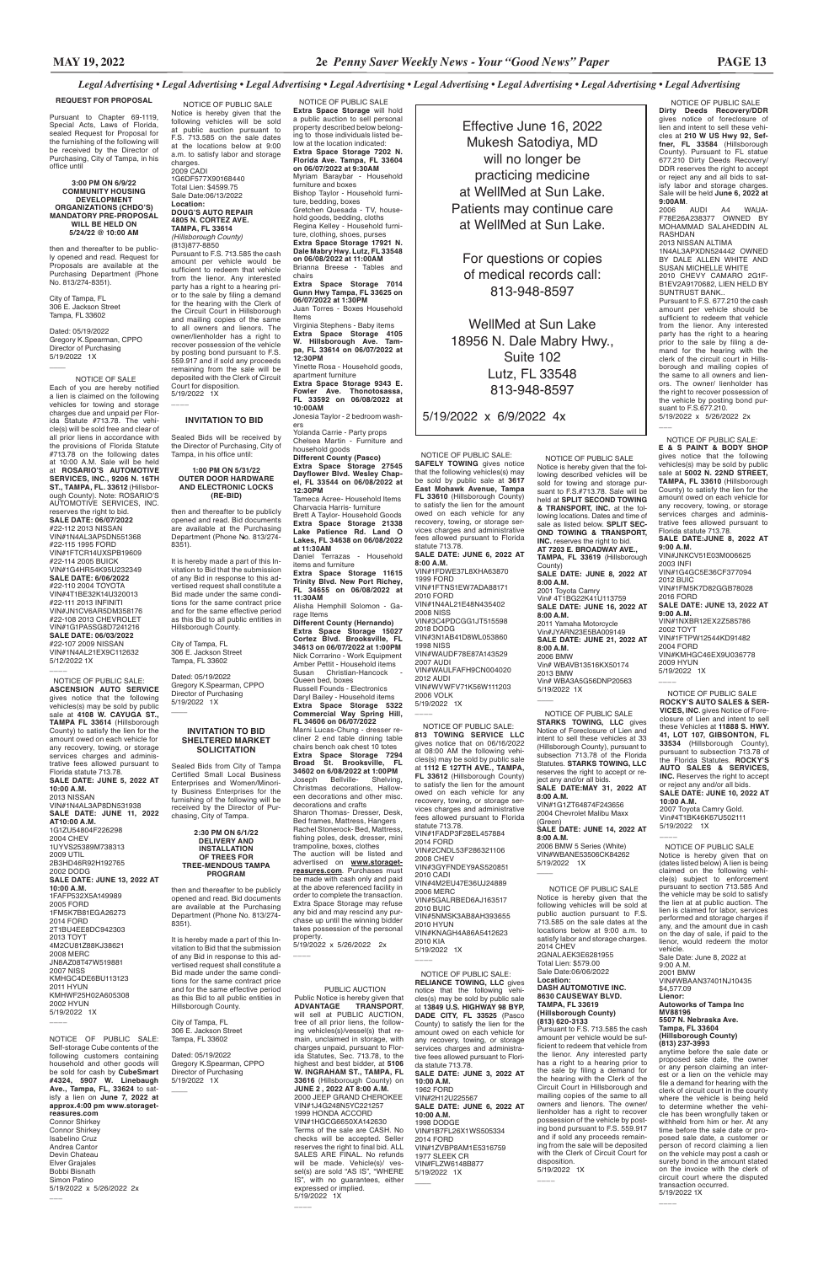Effective June 16, 2022 Mukesh Satodiya, MD will no longer be practicing medicine at WellMed at Sun Lake. Patients may continue care at WellMed at Sun Lake.

For questions or copies of medical records call: 813-948-8597

WellMed at Sun Lake 18956 N. Dale Mabry Hwy., Suite 102 Lutz, FL 33548 813-948-8597

5/19/2022 x 6/9/2022 4x

 NOTICE OF PUBLIC SALE **Dirty Deeds Recovery/DDR** gives notice of foreclosure of lien and intent to sell these vehicles at **210 W US Hwy 92, Seffner, FL 33584** (Hillsborough County). Pursuant to FL statue 677.210 Dirty Deeds Recovery/ DDR reserves the right to accept or reject any and all bids to satisfy labor and storage charges. Sale will be held **June 6, 2022 at 9:00AM**. 2006 AUDI A4 WAUA-F78E26A238377 OWNED BY MOHAMMAD SALAHEDDIN AL

RASHDAN

2013 NISSAN ALTIMA 1N4AL3APXDN524442 OWNED BY DALE ALLEN WHITE AND SUSAN MICHELLE WHITE 2010 CHEVY CAMARO 2G1F-

B1EV2A9170682, LIEN HELD BY SUNTRUST BANK..

\_\_\_\_ NOTICE OF PUBLIC SALE Notice is hereby given that the following described vehicles will be sold for towing and storage pursuant to F.S.#713.78. Sale will be held at **SPLIT SECOND TOWING & TRANSPORT, INC.** at the following locations. Dates and time of sale as listed below. **SPLIT SEC-OND TOWING & TRANSPORT, INC.** reserves the right to bid. **AT 7203 E. BROADWAY AVE., TAMPA, FL 33619** (Hillsborough County) **SALE DATE: JUNE 8, 2022 AT 8:00 A.M.** 2001 Toyota Camry Vin# 4T1BG22K41U113759 **SALE DATE: JUNE 16, 2022 AT 8:00 A.M.** 2011 Yamaha Motorcycle Vin#JYARN23E5BA009149 **SALE DATE: JUNE 21, 2022 AT 8:00 A.M.** 2006 BMW Vin# WBAVB13516KX50174 2013 BMW Vin# WBA3A5G56DNP20563 5/19/2022 1X  $\overline{\phantom{a}}$ 

Pursuant to F.S. 677.210 the cash amount per vehicle should be sufficient to redeem that vehicle from the lienor. Any interested party has the right to a hearing prior to the sale by filing a demand for the hearing with the clerk of the circuit court in Hillsborough and mailing copies of the same to all owners and lienors. The owner/ lienholder has the right to recover possession of the vehicle by posting bond pursuant to F.S.677.210. 5/19/2022 x 5/26/2022 2x

 $\overline{\phantom{a}}$ 

NOTICE OF PUBLIC SALE: Self-storage Cube contents of the following customers containing household and other goods will be sold for cash by **CubeSmart #4324, 5907 W. Linebaugh Ave., Tampa, FL, 33624** to satisfy a lien on **June 7, 2022 at approx.4:00 pm www.storagetreasures.com** Connor Shirkey Connor Shirkey Isabelino Cruz Andrea Cantor Devin Chateau Elver Grajales

Bobbi Bisnath Simon Patino 5/19/2022 x 5/26/2022 2x

 NOTICE OF PUBLIC SALE: **E & S PAINT & BODY SHOP**  gives notice that the following vehicles(s) may be sold by public sale at **5002 N. 22ND STREET, TAMPA, FL 33610** (Hillsborough County) to satisfy the lien for the amount owed on each vehicle for any recovery, towing, or storage services charges and administrative fees allowed pursuant to Florida statute 713.78. **SALE DATE:JUNE 8, 2022 AT 9:00 A.M.** VIN#JNKCV51E03M006625 2003 INFI VIN#1G4GC5E36CF377094 2012 BUIC VIN#1FM5K7D82GGB78028 2016 FORD **SALE DATE: JUNE 13, 2022 AT 9:00 A.M.** VIN#1NXBR12EX2Z585786 2002 TOYT VIN#1FTPW12544KD91482 2004 FORD

VIN#KMHGC46EX9U036778 2009 HYUN 5/19/2022 1X

 NOTICE OF PUBLIC SALE **ROCKY'S AUTO SALES & SER-VICES, INC**. gives Notice of Foreclosure of Lien and intent to sell these Vehicles at **11888 S. HWY. 41, LOT 107, GIBSONTON, FL 33534** (Hillsborough County), pursuant to subsection 713.78 of the Florida Statutes. **ROCKY'S AUTO SALES & SERVICES, INC.** Reserves the right to accept or reject any and/or all bids. **SALE DATE: JUNE 10, 2022 AT 10:00 A.M.** 2007 Toyota Camry Gold. Vin#4T1BK46K67U502111 5/19/2022 1X \_\_\_\_

 NOTICE OF PUBLIC SALE Notice is hereby given that the following vehicles will be sold at public auction pursuant to F.S. 713.585 on the sale dates at the locations below at 9:00 a.m. to satisfy labor and storage charges. 2014 CHEV 2GNALAEK3E6281955 Total Lien: \$579.00 Sale Date:06/06/2022 **Location: DASH AUTOMOTIVE INC. 8630 CAUSEWAY BLVD. TAMPA, FL 33619 (Hillsborough County) (813) 620-3133** Pursuant to F.S. 713.585 the cash amount per vehicle would be sufficient to redeem that vehicle from the lienor. Any interested party has a right to a hearing prior to the sale by filing a demand for the hearing with the Clerk of the Circuit Court in Hillsborough and mailing copies of the same to all owners and lienors. The owner/ lienholder has a right to recover

possession of the vehicle by posting bond pursuant to F.S. 559.917 and if sold any proceeds remaining from the sale will be deposited with the Clerk of Circuit Court for

disposition. 5/19/2022 1X \_\_\_\_

 NOTICE OF PUBLIC SALE **Extra Space Storage** will hold a public auction to sell personal property described below belonging to those individuals listed below at the location indicated: **Extra Space Storage 7202 N. Florida Ave. Tampa, FL 33604 on 06/07/2022 at 9:30AM** Myriam Baraybar - Household furniture and boxes Bishop Taylor - Household furniture, bedding, boxes Gretchen Quesada - TV, household goods, bedding, cloths Regina Kelley - Household furniture, clothing, shoes, purses **Extra Space Storage 17921 N. Dale Mabry Hwy. Lutz, FL 33548 on 06/08/2022 at 11:00AM** Brianna Breese - Tables and chairs **Extra Space Storage 7014 Gunn Hwy Tampa, FL 33625 on 06/07/2022 at 1:30PM** Juan Torres - Boxes Household Items

Dated: 05/19/2022 Gregory K.Spearman, CPPO Director of Purchasing 5/19/2022 1X  $\overline{\phantom{a}}$ 

Virginia Stephens - Baby items **Extra Space Storage 4105 W. Hillsborough Ave. Tampa, FL 33614 on 06/07/2022 at 12:30PM**  Yinette Rosa - Household goods,

apartment furniture **Extra Space Storage 9343 E. Fowler Ave. Thonotosassa,** 

**FL 33592 on 06/08/2022 at 10:00AM**  Jonesia Taylor - 2 bedroom wash-

ers Yolanda Carrie - Party props Chelsea Martin - Furniture and household goods

**Different County (Pasco) Extra Space Storage 27545** 

**Dayflower Blvd. Wesley Chapel, FL 33544 on 06/08/2022 at 12:30PM** 

Tameca Acree- Household Items Charvacia Harris- furniture Brett A Taylor- Household Goods

**Extra Space Storage 21338 Lake Patience Rd. Land O Lakes, FL 34638 on 06/08/2022 at 11:30AM** 

Daniel Terrazas - Household items and furniture

**Extra Space Storage 11615 Trinity Blvd. New Port Richey, FL 34655 on 06/08/2022 at 11:30AM** 

Dated: 05/19/2022 Gregory K.Spearman, CPPO Director of Purchasing 5/19/2022 1X  $\overline{\phantom{a}}$ 

> Alisha Hemphill Solomon - Garage Items **Different County (Hernando)**

**Extra Space Storage 15027 Cortez Blvd. Brooksville, FL 34613 on 06/07/2022 at 1:00PM**  Nick Corrarino - Work Equipment Amber Pettit - Household items Susan Christian-Hancock Queen bed, boxes Russell Founds - Electronics Daryl Bailey - Household items **Extra Space Storage 5322 Commercial Way Spring Hill, FL 34606 on 06/07/2022**  Marni Lucas-Chung - dresser recliner 2 end table dinning table chairs bench oak chest 10 totes **Extra Space Storage 7294 Broad St. Brooksville, FL** 

**34602 on 6/08/2022 at 1:00PM**  Bellville- Shelving, Christmas decorations, Halloween decorations and other misc. decorations and crafts Sharon Thomas- Dresser, Desk, Bed frames, Mattress, Hangers Rachel Stonerock- Bed, Mattress, fishing poles, desk, dresser, mini trampoline, boxes, clothes The auction will be listed and advertised on **www.storagetreasures.com**. Purchases must be made with cash only and paid at the above referenced facility in order to complete the transaction. Extra Space Storage may refuse

any bid and may rescind any pur-

#### chase up until the winning bidder takes possession of the personal property. 5/19/2022 x 5/26/2022 2x

\_\_\_\_

 NOTICE OF PUBLIC SALE: **SAFELY TOWING** gives notice that the following vehicles(s) may be sold by public sale at **3617 East Mohawk Avenue, Tampa FL 33610** (Hillsborough County) to satisfy the lien for the amount owed on each vehicle for any recovery, towing, or storage services charges and administrative fees allowed pursuant to Florida statute 713.78. **SALE DATE: JUNE 6, 2022 AT 8:00 A.M.** VIN#1FDWE37L8XHA63870 1999 FORD VIN#1FTNS1EW7ADA88171 2010 FORD VIN#1N4AL21E48N435402 2008 NISS VIN#3C4PDCGG1JT515598 2018 DODG VIN#3N1AB41D8WL053860 1998 NISS VIN#WAUDF78E87A143529 2007 AUDI VIN#WAULFAFH9CN004020 2012 AUDI VIN#WVWFV71K56W111203 2006 VOLK 5/19/2022 1X \_\_\_\_

> 2006 BMW 5 Series (White) VIN#WBANE53506CK84262 5/19/2022 1X  $\overline{\phantom{a}}$

 NOTICE OF PUBLIC SALE: **813 TOWING SERVICE LLC**  gives notice that on 06/16/2022 at 08:00 AM the following vehicles(s) may be sold by public sale at **1112 E 127TH AVE., TAMPA, FL 33612** (Hillsborough County) to satisfy the lien for the amount owed on each vehicle for any recovery, towing, or storage services charges and administrative fees allowed pursuant to Florida statute 713.78. VIN#1FADP3F28EL457884 2014 FORD VIN#2CNDL53F286321106 2008 CHEV VIN#3GYFNDEY9AS520851 2010 CADI VIN#4M2EU47E36UJ24889 2006 MERC

VIN#5GALRBED6AJ163517

2010 BUIC

VIN#5NMSK3AB8AH393655

2010 HYUN

VIN#KNAGH4A86A5412623 2010 KIA 5/19/2022 1X

\_\_\_\_

 NOTICE OF PUBLIC SALE: **RELIANCE TOWING, LLC** gives notice that the following vehi-

cles(s) may be sold by public sale at **13849 U.S. HIGHWAY 98 BYP, DADE CITY, FL 33525** (Pasco County) to satisfy the lien for the amount owed on each vehicle for any recovery, towing, or storage services charges and administrative fees allowed pursuant to Florida statute 713.78. **SALE DATE: JUNE 3, 2022 AT 10:00 A.M.** 1962 FORD VIN#2H12U225567 **SALE DATE: JUNE 6, 2022 AT 10:00 A.M.** 1998 DODGE VIN#1B7FL26X1WS505334 2014 FORD

VIN#1ZVBP8AM1E5316759 1977 SLEEK CR VIN#FLZW6148B877 5/19/2022 1X

 $\overline{\phantom{a}}$ 

 NOTICE OF PUBLIC SALE Notice is hereby given that the following vehicles will be sold at public auction pursuant to F.S. 713.585 on the sale dates at the locations below at 9:00 a.m. to satisfy labor and storage charges. 2009 CADI 1G6DF577X90168440 Total Lien: \$4599.75 Sale Date:06/13/2022 **Location: DOUG'S AUTO REPAIR 4805 N. CORTEZ AVE. TAMPA, FL 33614** *(Hillsborough County)* (813)877-8850 Pursuant to F.S. 713.585 the cash amount per vehicle would be

sufficient to redeem that vehicle from the lienor. Any interested party has a right to a hearing prior to the sale by filing a demand for the hearing with the Clerk of the Circuit Court in Hillsborough and mailing copies of the same to all owners and lienors. The owner/lienholder has a right to recover possession of the vehicle by posting bond pursuant to F.S. 559.917 and if sold any proceeds remaining from the sale will be deposited with the Clerk of Circuit Court for disposition.

5/19/2022 1X \_\_\_\_

## **INVITATION TO BID**

Sealed Bids will be received by the Director of Purchasing, City of Tampa, in his office until:

#### **1:00 PM ON 5/31/22 OUTER DOOR HARDWARE AND ELECTRONIC LOCKS (RE-BID)**

then and thereafter to be publicly opened and read. Bid documents are available at the Purchasing Department (Phone No. 813/274-8351).

It is hereby made a part of this Invitation to Bid that the submission of any Bid in response to this advertised request shall constitute a Bid made under the same conditions for the same contract price and for the same effective period as this Bid to all public entities in Hillsborough County.

City of Tampa, FL 306 E. Jackson Street Tampa, FL 33602

#### **INVITATION TO BID SHELTERED MARKET SOLICITATION**

Sealed Bids from City of Tampa Certified Small Local Business Enterprises and Women/Minority Business Enterprises for the furnishing of the following will be received by the Director of Purchasing, City of Tampa.

#### **2:30 PM ON 6/1/22 DELIVERY AND INSTALLATION OF TREES FOR TREE-MENDOUS TAMPA PROGRAM**

then and thereafter to be publicly opened and read. Bid documents are available at the Purchasing Department (Phone No. 813/274- 8351).

It is hereby made a part of this Invitation to Bid that the submission of any Bid in response to this advertised request shall constitute a Bid made under the same conditions for the same contract price and for the same effective period as this Bid to all public entities in Hillsborough County.

City of Tampa, FL 306 E. Jackson Street Tampa, FL 33602

 $\overline{\phantom{a}}$ 

Dated: 05/19/2022 Gregory K.Spearman, CPPO Director of Purchasing 5/19/2022 1X

### **REQUEST FOR PROPOSAL**

Pursuant to Chapter 69-1119, Special Acts, Laws of Florida, sealed Request for Proposal for the furnishing of the following will be received by the Director of Purchasing, City of Tampa, in his office until

#### **3:00 PM ON 6/9/22 COMMUNITY HOUSING DEVELOPMENT ORGANIZATIONS (CHDO'S) MANDATORY PRE-PROPOSAL WILL BE HELD ON 5/24/22 @ 10:00 AM**

then and thereafter to be publicly opened and read. Request for Proposals are available at the Purchasing Department (Phone No. 813/274-8351).

City of Tampa, FL 306 E. Jackson Street Tampa, FL 33602

 NOTICE OF SALE Each of you are hereby notified a lien is claimed on the following vehicles for towing and storage charges due and unpaid per Florida Statute #713.78. The vehicle(s) will be sold free and clear of all prior liens in accordance with the provisions of Florida Statute #713.78 on the following dates at 10:00 A.M. Sale will be held at **ROSARIO'S AUTOMOTIVE SERVICES, INC., 9206 N. 16TH ST., TAMPA, FL. 33612** (Hillsborough County). Note: ROSARIO'S AUTOMOTIVE SERVICES, INC. reserves the right to bid. **SALE DATE: 06/07/2022** #22-112 2013 NISSAN VIN#1N4AL3AP5DN551368 #22-115 1995 FORD VIN#1FTCR14UXSPB19609 #22-114 2005 BUICK VIN#1G4HR54K95U232349 **SALE DATE: 6/06/2022** #22-110 2004 TOYOTA VIN#4T1BE32K14U320013 #22-111 2013 INFINITI VIN#JN1CV6AR5DM358176 #22-108 2013 CHEVROLET VIN#1G1PA5SG8D7241216 **SALE DATE: 06/03/2022** #22-107 2009 NISSAN VIN#1N4AL21EX9C112632 5/12/2022 1X

## PUBLIC AUCTION

Public Notice is hereby given that **ADVANTAGE TRANSPORT**, will sell at PUBLIC AUCTION, free of all prior liens, the following vehicles(s)/vessel(s) that remain, unclaimed in storage, with charges unpaid, pursuant to Florida Statutes, Sec. 713.78, to the highest and best bidder, at **5106 W. INGRAHAM ST., TAMPA, FL 33616** (Hillsborough County) on **JUNE 2 , 2022 AT 8:00 A.M.** 2000 JEEP GRAND CHEROKEE VIN#1J4G248N5YC221257 1999 HONDA ACCORD VIN#1HGCG6650XA142630 Terms of the sale are CASH. No checks will be accepted. Seller reserves the right to final bid. ALL SALES ARE FINAL. No refunds will be made. Vehicle(s)/ vessel(s) are sold "AS IS", "WHERE IS", with no guarantees, either expressed or implied. 5/19/2022 1X

\_\_\_\_

\_\_\_\_ NOTICE OF PUBLIC SALE: **ASCENSION AUTO SERVICE**  gives notice that the following vehicles(s) may be sold by public sale at 4108 W. CAYUGA ST., **TAMPA FL 33614** (Hillsborough County) to satisfy the lien for the amount owed on each vehicle for any recovery, towing, or storage services charges and administrative fees allowed pursuant to Florida statute 713.78. **SALE DATE: JUNE 5, 2022 AT 10:00 A.M.** 2013 NISSAN VIN#1N4AL3AP8DN531938 **SALE DATE: JUNE 11, 2022 AT10:00 A.M.** 1G1ZU54804F226298 2004 CHEV 1UYVS25389M738313 2009 UTIL 2B3HD46R92H192765 2002 DODG **SALE DATE: JUNE 13, 2022 AT 10:00 A.M.** 1FAFP532X5A149989 2005 FORD 1FM5K7B81EGA26273 2014 FORD 2T1BU4EE8DC942303 2013 TOYT 4M2CU81Z88KJ38621 2008 MERC JN8AZ08T47W519881 2007 NISS KMHGC4DE6BU113123 2011 HYUN KMHWF25H02A605308 2002 HYUN 5/19/2022 1X

\_\_\_\_

 $\overline{\phantom{a}}$ 

 NOTICE OF PUBLIC SALE Notice is hereby given that on (dates listed below) A lien is being claimed on the following vehicle(s) subject to enforcement pursuant to section 713.585 And the vehicle may be sold to satisfy the lien at at public auction. The lien is claimed for labor, services performed and storage charges if any, and the amount due in cash on the day of sale, if paid to the lienor, would redeem the motor vehicle. Sale Date: June 8, 2022 at 9:00 A.M. 2001 BMW VIN#WBAAN37401NJ10435  $$4,577.09$ **Lienor: Autoworks of Tampa Inc MV88196 5507 N. Nebraska Ave. Tampa, FL 33604 (Hillsborough County) (813) 237-3993** anytime before the sale date or proposed sale date, the owner or any person claiming an interest or a lien on the vehicle may file a demand for hearing with the clerk of circuit court in the county where the vehicle is being held to determine whether the vehicle has been wrongfully taken or withheld from him or her. At any time before the sale date or proposed sale date, a customer or person of record claiming a lien on the vehicle may post a cash or surety bond in the amount stated on the invoice with the clerk of circuit court where the disputed transaction occurred. 5/19/2022 1X

\_\_\_\_

 NOTICE OF PUBLIC SALE **STARKS TOWING, LLC** gives Notice of Foreclosure of Lien and intent to sell these vehicles at 33 (Hillsborough County), pursuant to subsection 713.78 of the Florida Statutes. **STARKS TOWING, LLC**  reserves the right to accept or reject any and/or all bids. **SALE DATE:MAY 31, 2022 AT 8:00 A.M.**

VIN#1G1ZT64874F243656 2004 Chevrolet Malibu Maxx (Green)

**SALE DATE: JUNE 14, 2022 AT 8:00 A.M.**